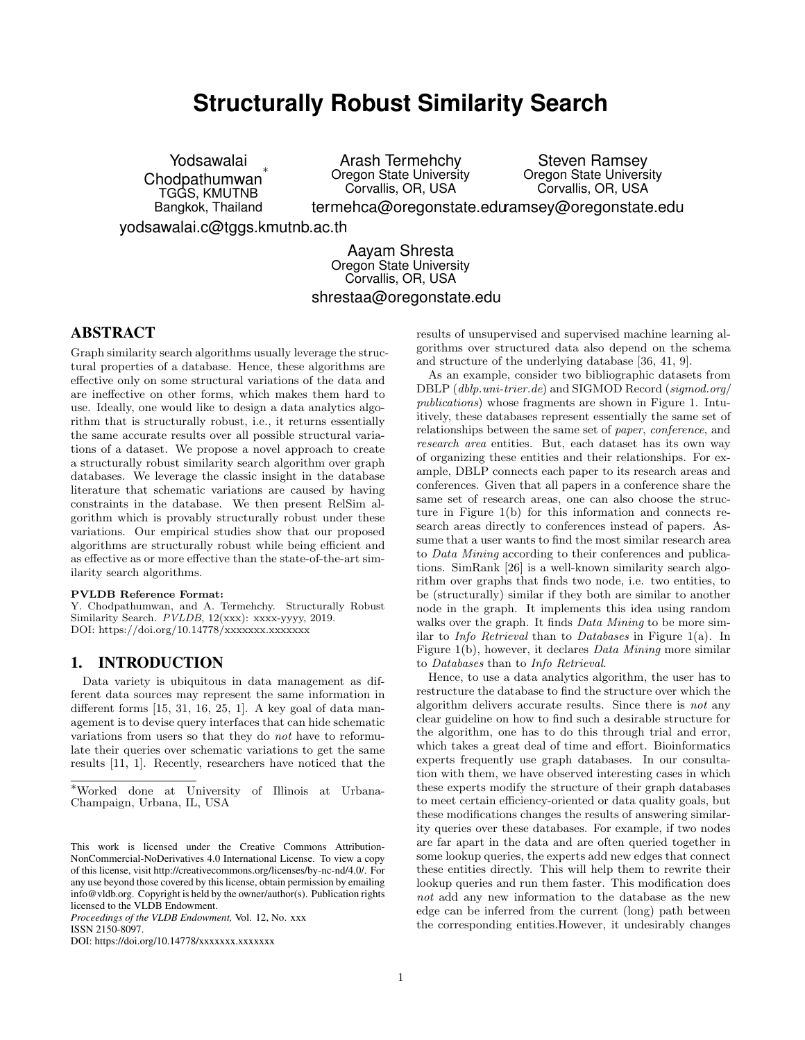# **Structurally Robust Similarity Search**

Yodsawalai Chodpathumwan ∗ TGGS, KMUTNB Bangkok, Thailand

Arash Termehchy Oregon State University Corvallis, OR, USA

Steven Ramsey Oregon State University Corvallis, OR, USA

termehca@oregonstate.edu<sup>amsey@oregonstate.edu</sup>

yodsawalai.c@tggs.kmutnb.ac.th

Aayam Shresta Oregon State University Corvallis, OR, USA shrestaa@oregonstate.edu

## ABSTRACT

Graph similarity search algorithms usually leverage the structural properties of a database. Hence, these algorithms are effective only on some structural variations of the data and are ineffective on other forms, which makes them hard to use. Ideally, one would like to design a data analytics algorithm that is structurally robust, i.e., it returns essentially the same accurate results over all possible structural variations of a dataset. We propose a novel approach to create a structurally robust similarity search algorithm over graph databases. We leverage the classic insight in the database literature that schematic variations are caused by having constraints in the database. We then present RelSim algorithm which is provably structurally robust under these variations. Our empirical studies show that our proposed algorithms are structurally robust while being efficient and as effective as or more effective than the state-of-the-art similarity search algorithms.

#### PVLDB Reference Format:

Y. Chodpathumwan, and A. Termehchy. Structurally Robust Similarity Search. PVLDB, 12(xxx): xxxx-yyyy, 2019. DOI: https://doi.org/10.14778/xxxxxxx.xxxxxxx

## 1. INTRODUCTION

Data variety is ubiquitous in data management as different data sources may represent the same information in different forms [15, 31, 16, 25, 1]. A key goal of data management is to devise query interfaces that can hide schematic variations from users so that they do not have to reformulate their queries over schematic variations to get the same results [11, 1]. Recently, researchers have noticed that the

*Proceedings of the VLDB Endowment,* Vol. 12, No. xxx ISSN 2150-8097.

DOI: https://doi.org/10.14778/xxxxxxx.xxxxxxx

results of unsupervised and supervised machine learning algorithms over structured data also depend on the schema and structure of the underlying database [36, 41, 9].

As an example, consider two bibliographic datasets from DBLP (dblp.uni-trier.de) and SIGMOD Record (sigmod.org/ publications) whose fragments are shown in Figure 1. Intuitively, these databases represent essentially the same set of relationships between the same set of paper, conference, and research area entities. But, each dataset has its own way of organizing these entities and their relationships. For example, DBLP connects each paper to its research areas and conferences. Given that all papers in a conference share the same set of research areas, one can also choose the structure in Figure 1(b) for this information and connects research areas directly to conferences instead of papers. Assume that a user wants to find the most similar research area to Data Mining according to their conferences and publications. SimRank [26] is a well-known similarity search algorithm over graphs that finds two node, i.e. two entities, to be (structurally) similar if they both are similar to another node in the graph. It implements this idea using random walks over the graph. It finds *Data Mining* to be more similar to Info Retrieval than to Databases in Figure 1(a). In Figure 1(b), however, it declares Data Mining more similar to Databases than to Info Retrieval.

Hence, to use a data analytics algorithm, the user has to restructure the database to find the structure over which the algorithm delivers accurate results. Since there is not any clear guideline on how to find such a desirable structure for the algorithm, one has to do this through trial and error, which takes a great deal of time and effort. Bioinformatics experts frequently use graph databases. In our consultation with them, we have observed interesting cases in which these experts modify the structure of their graph databases to meet certain efficiency-oriented or data quality goals, but these modifications changes the results of answering similarity queries over these databases. For example, if two nodes are far apart in the data and are often queried together in some lookup queries, the experts add new edges that connect these entities directly. This will help them to rewrite their lookup queries and run them faster. This modification does not add any new information to the database as the new edge can be inferred from the current (long) path between the corresponding entities.However, it undesirably changes

<sup>∗</sup>Worked done at University of Illinois at Urbana-Champaign, Urbana, IL, USA

This work is licensed under the Creative Commons Attribution-NonCommercial-NoDerivatives 4.0 International License. To view a copy of this license, visit http://creativecommons.org/licenses/by-nc-nd/4.0/. For any use beyond those covered by this license, obtain permission by emailing info@vldb.org. Copyright is held by the owner/author(s). Publication rights licensed to the VLDB Endowment.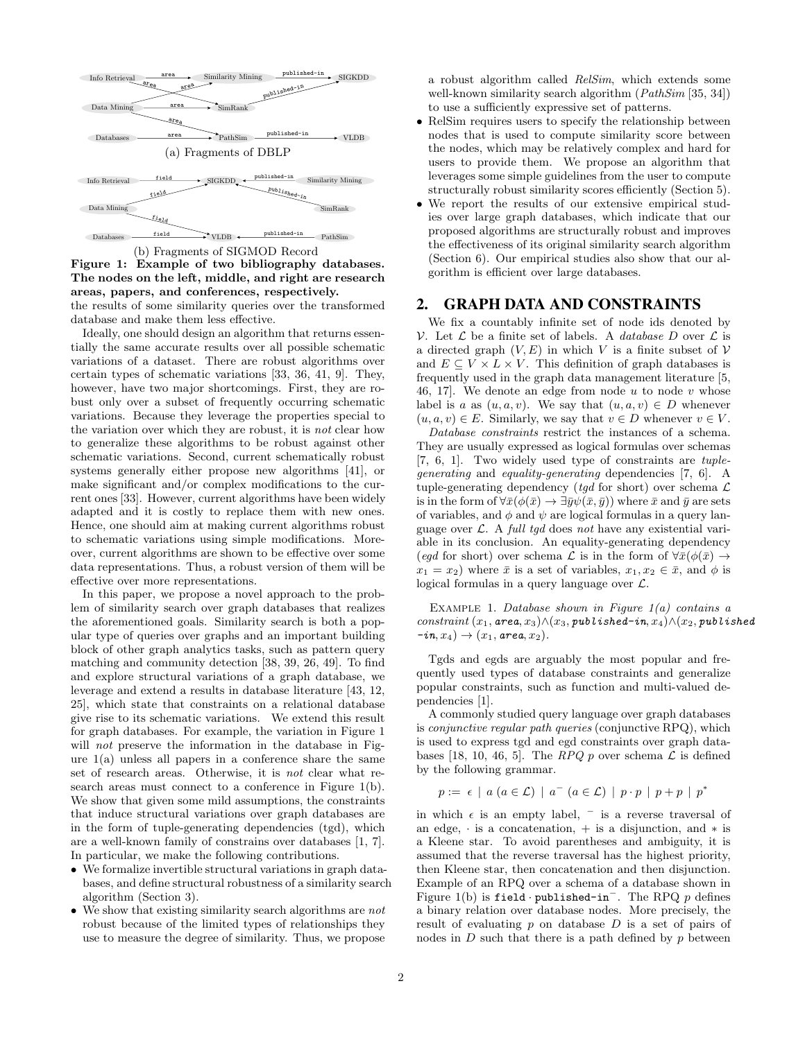

Figure 1: Example of two bibliography databases. The nodes on the left, middle, and right are research areas, papers, and conferences, respectively.

the results of some similarity queries over the transformed database and make them less effective.

Ideally, one should design an algorithm that returns essentially the same accurate results over all possible schematic variations of a dataset. There are robust algorithms over certain types of schematic variations [33, 36, 41, 9]. They, however, have two major shortcomings. First, they are robust only over a subset of frequently occurring schematic variations. Because they leverage the properties special to the variation over which they are robust, it is not clear how to generalize these algorithms to be robust against other schematic variations. Second, current schematically robust systems generally either propose new algorithms [41], or make significant and/or complex modifications to the current ones [33]. However, current algorithms have been widely adapted and it is costly to replace them with new ones. Hence, one should aim at making current algorithms robust to schematic variations using simple modifications. Moreover, current algorithms are shown to be effective over some data representations. Thus, a robust version of them will be effective over more representations.

In this paper, we propose a novel approach to the problem of similarity search over graph databases that realizes the aforementioned goals. Similarity search is both a popular type of queries over graphs and an important building block of other graph analytics tasks, such as pattern query matching and community detection [38, 39, 26, 49]. To find and explore structural variations of a graph database, we leverage and extend a results in database literature [43, 12, 25], which state that constraints on a relational database give rise to its schematic variations. We extend this result for graph databases. For example, the variation in Figure 1 will *not* preserve the information in the database in Figure  $1(a)$  unless all papers in a conference share the same set of research areas. Otherwise, it is not clear what research areas must connect to a conference in Figure 1(b). We show that given some mild assumptions, the constraints that induce structural variations over graph databases are in the form of tuple-generating dependencies (tgd), which are a well-known family of constrains over databases [1, 7]. In particular, we make the following contributions.

- We formalize invertible structural variations in graph databases, and define structural robustness of a similarity search algorithm (Section 3).
- We show that existing similarity search algorithms are not robust because of the limited types of relationships they use to measure the degree of similarity. Thus, we propose

a robust algorithm called RelSim, which extends some well-known similarity search algorithm (*PathSim* [35, 34]) to use a sufficiently expressive set of patterns.

- RelSim requires users to specify the relationship between nodes that is used to compute similarity score between the nodes, which may be relatively complex and hard for users to provide them. We propose an algorithm that leverages some simple guidelines from the user to compute structurally robust similarity scores efficiently (Section 5).
- We report the results of our extensive empirical studies over large graph databases, which indicate that our proposed algorithms are structurally robust and improves the effectiveness of its original similarity search algorithm (Section 6). Our empirical studies also show that our algorithm is efficient over large databases.

## 2. GRAPH DATA AND CONSTRAINTS

We fix a countably infinite set of node ids denoted by V. Let  $\mathcal L$  be a finite set of labels. A *database* D over  $\mathcal L$  is a directed graph  $(V, E)$  in which V is a finite subset of V and  $E \subseteq V \times L \times V$ . This definition of graph databases is frequently used in the graph data management literature [5, 46, 17]. We denote an edge from node  $u$  to node  $v$  whose label is a as  $(u, a, v)$ . We say that  $(u, a, v) \in D$  whenever  $(u, a, v) \in E$ . Similarly, we say that  $v \in D$  whenever  $v \in V$ .

Database constraints restrict the instances of a schema. They are usually expressed as logical formulas over schemas [7, 6, 1]. Two widely used type of constraints are tuplegenerating and equality-generating dependencies [7, 6]. A tuple-generating dependency (tqd for short) over schema  $\mathcal L$ is in the form of  $\forall \bar{x}(\phi(\bar{x}) \rightarrow \exists \bar{y}\psi(\bar{x}, \bar{y}))$  where  $\bar{x}$  and  $\bar{y}$  are sets of variables, and  $\phi$  and  $\psi$  are logical formulas in a query language over  $\mathcal{L}$ . A full tgd does not have any existential variable in its conclusion. An equality-generating dependency (egd for short) over schema  $\mathcal L$  is in the form of  $\forall \bar x(\phi(\bar x) \to$  $x_1 = x_2$ ) where  $\bar{x}$  is a set of variables,  $x_1, x_2 \in \bar{x}$ , and  $\phi$  is logical formulas in a query language over  $\mathcal{L}$ .

EXAMPLE 1. Database shown in Figure  $1(a)$  contains a constraint  $(x_1, \text{area}, x_3) \land (x_3, \text{public} \text{model} - \text{in}, x_4) \land (x_2, \text{public} \text{model})$  $-i\mathfrak{n}, x_4) \rightarrow (x_1, \text{area}, x_2).$ 

Tgds and egds are arguably the most popular and frequently used types of database constraints and generalize popular constraints, such as function and multi-valued dependencies [1].

A commonly studied query language over graph databases is conjunctive regular path queries (conjunctive RPQ), which is used to express tgd and egd constraints over graph databases [18, 10, 46, 5]. The RPQ p over schema  $\mathcal L$  is defined by the following grammar.

$$
p := \epsilon \mid a \ (a \in \mathcal{L}) \mid a^{-} \ (a \in \mathcal{L}) \mid p \cdot p \mid p + p \mid p^*
$$

in which  $\epsilon$  is an empty label,  $\bar{\phantom{a}}$  is a reverse traversal of an edge,  $\cdot$  is a concatenation,  $+$  is a disjunction, and  $*$  is a Kleene star. To avoid parentheses and ambiguity, it is assumed that the reverse traversal has the highest priority, then Kleene star, then concatenation and then disjunction. Example of an RPQ over a schema of a database shown in Figure 1(b) is field · published-in<sup>-</sup>. The RPQ p defines a binary relation over database nodes. More precisely, the result of evaluating  $p$  on database  $D$  is a set of pairs of nodes in  $D$  such that there is a path defined by  $p$  between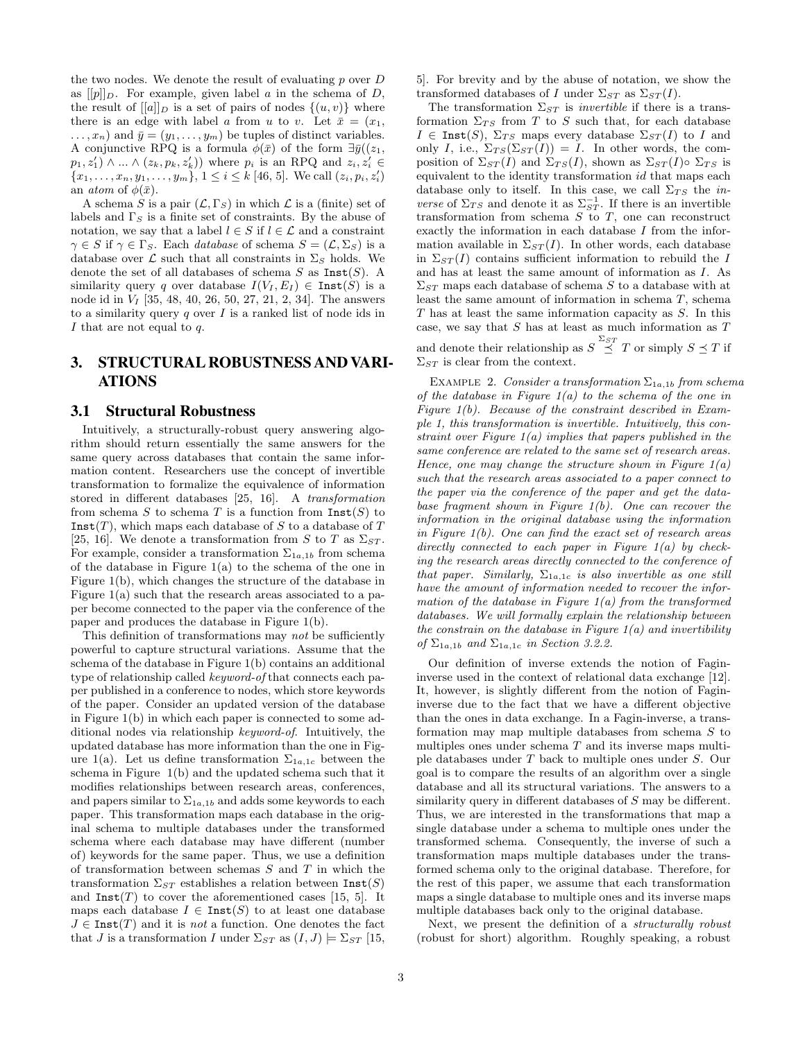the two nodes. We denote the result of evaluating  $p$  over  $D$ as  $[ [p] ]_D$ . For example, given label a in the schema of D, the result of  $[[a]]_D$  is a set of pairs of nodes  $\{(u, v)\}\$  where there is an edge with label a from u to v. Let  $\bar{x} = (x_1, x_2, \dots, x_n)$  $\dots, x_n$ ) and  $\bar{y} = (y_1, \dots, y_m)$  be tuples of distinct variables. A conjunctive RPQ is a formula  $\phi(\bar{x})$  of the form  $\exists \bar{y}((z_1,$  $p_1, z'_1$   $\wedge \ldots \wedge (z_k, p_k, z'_k)$  where  $p_i$  is an RPQ and  $z_i, z'_i \in$  ${x_1, \ldots, x_n, y_1, \ldots, y_m}, 1 \leq i \leq k$  [46, 5]. We call  $(z_i, p_i, z'_i)$ an *atom* of  $\phi(\bar{x})$ .

A schema S is a pair  $(\mathcal{L}, \Gamma_S)$  in which  $\mathcal L$  is a (finite) set of labels and  $\Gamma_S$  is a finite set of constraints. By the abuse of notation, we say that a label  $l \in S$  if  $l \in \mathcal{L}$  and a constraint  $\gamma \in S$  if  $\gamma \in \Gamma_S$ . Each *database* of schema  $S = (\mathcal{L}, \Sigma_S)$  is a database over  $\mathcal L$  such that all constraints in  $\Sigma_S$  holds. We denote the set of all databases of schema  $S$  as  $\text{Inst}(S)$ . A similarity query q over database  $I(V_I, E_I) \in \text{Inst}(S)$  is a node id in  $V_I$  [35, 48, 40, 26, 50, 27, 21, 2, 34]. The answers to a similarity query  $q$  over  $I$  is a ranked list of node ids in I that are not equal to  $q$ .

# 3. STRUCTURAL ROBUSTNESS AND VARI-ATIONS

#### 3.1 Structural Robustness

Intuitively, a structurally-robust query answering algorithm should return essentially the same answers for the same query across databases that contain the same information content. Researchers use the concept of invertible transformation to formalize the equivalence of information stored in different databases [25, 16]. A transformation from schema S to schema T is a function from  $\text{Inst}(S)$  to  $Inst(T)$ , which maps each database of S to a database of T [25, 16]. We denote a transformation from S to T as  $\Sigma_{ST}$ . For example, consider a transformation  $\Sigma_{1a,1b}$  from schema of the database in Figure  $1(a)$  to the schema of the one in Figure 1(b), which changes the structure of the database in Figure 1(a) such that the research areas associated to a paper become connected to the paper via the conference of the paper and produces the database in Figure 1(b).

This definition of transformations may not be sufficiently powerful to capture structural variations. Assume that the schema of the database in Figure 1(b) contains an additional type of relationship called keyword-of that connects each paper published in a conference to nodes, which store keywords of the paper. Consider an updated version of the database in Figure 1(b) in which each paper is connected to some additional nodes via relationship keyword-of. Intuitively, the updated database has more information than the one in Figure 1(a). Let us define transformation  $\Sigma_{1a,1c}$  between the schema in Figure 1(b) and the updated schema such that it modifies relationships between research areas, conferences, and papers similar to  $\Sigma_{1a,1b}$  and adds some keywords to each paper. This transformation maps each database in the original schema to multiple databases under the transformed schema where each database may have different (number of) keywords for the same paper. Thus, we use a definition of transformation between schemas  $S$  and  $T$  in which the transformation  $\Sigma_{ST}$  establishes a relation between  $\text{Inst}(S)$ and  $\text{Inst}(T)$  to cover the aforementioned cases [15, 5]. It maps each database  $I \in \text{Inst}(S)$  to at least one database  $J \in \text{Inst}(T)$  and it is not a function. One denotes the fact that J is a transformation I under  $\Sigma_{ST}$  as  $(I, J) \models \Sigma_{ST}$  [15, 5]. For brevity and by the abuse of notation, we show the transformed databases of I under  $\Sigma_{ST}$  as  $\Sigma_{ST}(I)$ .

The transformation  $\Sigma_{ST}$  is *invertible* if there is a transformation  $\Sigma_{TS}$  from T to S such that, for each database  $I \in \text{Inst}(S)$ ,  $\Sigma_{TS}$  maps every database  $\Sigma_{ST}(I)$  to I and only I, i.e.,  $\Sigma_{TS}(\Sigma_{ST}(I)) = I$ . In other words, the composition of  $\Sigma_{ST}(I)$  and  $\Sigma_{TS}(I)$ , shown as  $\Sigma_{ST}(I) \circ \Sigma_{TS}$  is equivalent to the identity transformation id that maps each database only to itself. In this case, we call  $\Sigma_{TS}$  the *inverse* of  $\Sigma_{TS}$  and denote it as  $\Sigma_{ST}^{-1}$ . If there is an invertible transformation from schema  $S$  to  $T$ , one can reconstruct exactly the information in each database I from the information available in  $\Sigma_{ST}(I)$ . In other words, each database in  $\Sigma_{ST}(I)$  contains sufficient information to rebuild the I and has at least the same amount of information as I. As  $\Sigma_{ST}$  maps each database of schema S to a database with at least the same amount of information in schema T, schema T has at least the same information capacity as S. In this case, we say that  $S$  has at least as much information as  $T$ and denote their relationship as  $S \overset{\Sigma_{ST}}{\preceq} T$  or simply  $S \preceq T$  if  $\Sigma_{ST}$  is clear from the context.

EXAMPLE 2. Consider a transformation  $\Sigma_{1a,1b}$  from schema of the database in Figure  $1(a)$  to the schema of the one in Figure 1(b). Because of the constraint described in Example 1, this transformation is invertible. Intuitively, this constraint over Figure  $1(a)$  implies that papers published in the same conference are related to the same set of research areas. Hence, one may change the structure shown in Figure  $1(a)$ such that the research areas associated to a paper connect to the paper via the conference of the paper and get the database fragment shown in Figure  $1(b)$ . One can recover the information in the original database using the information in Figure 1(b). One can find the exact set of research areas directly connected to each paper in Figure  $1(a)$  by checking the research areas directly connected to the conference of that paper. Similarly,  $\Sigma_{1a,1c}$  is also invertible as one still have the amount of information needed to recover the information of the database in Figure  $1(a)$  from the transformed databases. We will formally explain the relationship between the constrain on the database in Figure  $1(a)$  and invertibility of  $\Sigma_{1a,1b}$  and  $\Sigma_{1a,1c}$  in Section 3.2.2.

Our definition of inverse extends the notion of Fagininverse used in the context of relational data exchange [12]. It, however, is slightly different from the notion of Fagininverse due to the fact that we have a different objective than the ones in data exchange. In a Fagin-inverse, a transformation may map multiple databases from schema S to multiples ones under schema  $T$  and its inverse maps multiple databases under T back to multiple ones under S. Our goal is to compare the results of an algorithm over a single database and all its structural variations. The answers to a similarity query in different databases of S may be different. Thus, we are interested in the transformations that map a single database under a schema to multiple ones under the transformed schema. Consequently, the inverse of such a transformation maps multiple databases under the transformed schema only to the original database. Therefore, for the rest of this paper, we assume that each transformation maps a single database to multiple ones and its inverse maps multiple databases back only to the original database.

Next, we present the definition of a structurally robust (robust for short) algorithm. Roughly speaking, a robust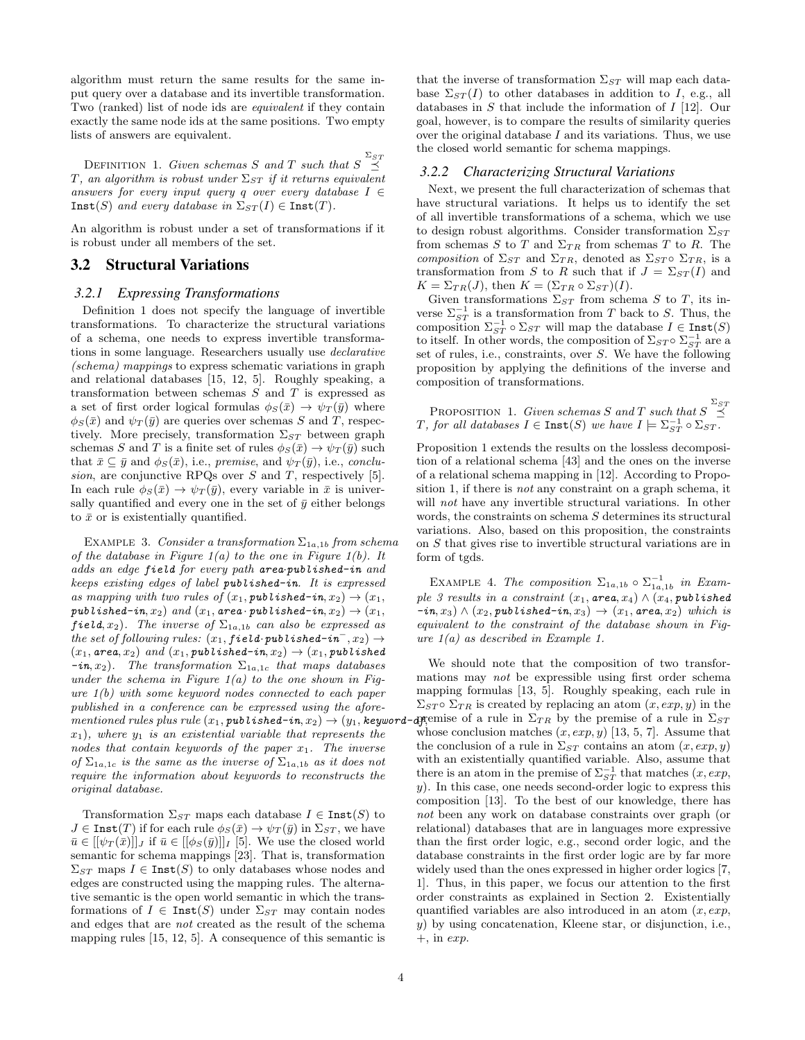algorithm must return the same results for the same input query over a database and its invertible transformation. Two (ranked) list of node ids are equivalent if they contain exactly the same node ids at the same positions. Two empty lists of answers are equivalent.

DEFINITION 1. Given schemas S and T such that  $S \overset{\Sigma_{ST}}{\preceq}$ T, an algorithm is robust under  $\Sigma_{ST}$  if it returns equivalent answers for every input query q over every database  $I \in$  $\text{Inst}(S)$  and every database in  $\Sigma_{ST}(I) \in \text{Inst}(T)$ .

An algorithm is robust under a set of transformations if it is robust under all members of the set.

#### 3.2 Structural Variations

#### *3.2.1 Expressing Transformations*

Definition 1 does not specify the language of invertible transformations. To characterize the structural variations of a schema, one needs to express invertible transformations in some language. Researchers usually use declarative (schema) mappings to express schematic variations in graph and relational databases [15, 12, 5]. Roughly speaking, a transformation between schemas  $S$  and  $T$  is expressed as a set of first order logical formulas  $\phi_S(\bar{x}) \to \psi_T(\bar{y})$  where  $\phi_S(\bar{x})$  and  $\psi_T(\bar{y})$  are queries over schemas S and T, respectively. More precisely, transformation  $\Sigma_{ST}$  between graph schemas S and T is a finite set of rules  $\phi_S(\bar{x}) \to \psi_T(\bar{y})$  such that  $\bar{x} \subseteq \bar{y}$  and  $\phi_S(\bar{x})$ , i.e., premise, and  $\psi_T(\bar{y})$ , i.e., conclusion, are conjunctive RPQs over  $S$  and  $T$ , respectively [5]. In each rule  $\phi_S(\bar{x}) \to \psi_T(\bar{y})$ , every variable in  $\bar{x}$  is universally quantified and every one in the set of  $\bar{y}$  either belongs to  $\bar{x}$  or is existentially quantified.

EXAMPLE 3. Consider a transformation  $\Sigma_{1a,1b}$  from schema of the database in Figure  $1(a)$  to the one in Figure  $1(b)$ . It adds an edge field for every path area·published-in and keeps existing edges of label published-in. It is expressed as mapping with two rules of  $(x_1, \text{public} \times \text{in} \times x_2) \rightarrow (x_1,$ published-in,  $x_2$ ) and  $(x_1, \text{area} \cdot \text{public} \cdot \text{index} - i n, x_2) \rightarrow (x_1,$ field,  $x_2$ ). The inverse of  $\Sigma_{1a,1b}$  can also be expressed as the set of following rules:  $(x_1, field \cdot published-in^-, x_2) \rightarrow$  $(x_1, \text{area}, x_2)$  and  $(x_1, \text{public}$  published-in,  $x_2) \rightarrow (x_1, \text{public}$  published  $-in, x_2$ ). The transformation  $\Sigma_{1a,1c}$  that maps databases under the schema in Figure  $1(a)$  to the one shown in Figure  $1(b)$  with some keyword nodes connected to each paper published in a conference can be expressed using the aforementioned rules plus rule  $(x_1, \text{public } x_1, x_2) \rightarrow (y_1, \text{ keyword} \cdot$  $x_1$ ), where  $y_1$  is an existential variable that represents the nodes that contain keywords of the paper  $x_1$ . The inverse of  $\Sigma_{1a,1c}$  is the same as the inverse of  $\Sigma_{1a,1b}$  as it does not require the information about keywords to reconstructs the original database.

Transformation  $\Sigma_{ST}$  maps each database  $I \in \text{Inst}(S)$  to  $J \in \text{Inst}(T)$  if for each rule  $\phi_S(\bar{x}) \to \psi_T(\bar{y})$  in  $\Sigma_{ST}$ , we have  $\bar{u} \in [[\psi_T(\bar{x})]]_J$  if  $\bar{u} \in [[\phi_S(\bar{y})]]_I$  [5]. We use the closed world semantic for schema mappings [23]. That is, transformation  $\Sigma_{ST}$  maps  $I \in \text{Inst}(S)$  to only databases whose nodes and edges are constructed using the mapping rules. The alternative semantic is the open world semantic in which the transformations of  $I \in \text{Inst}(S)$  under  $\Sigma_{ST}$  may contain nodes and edges that are not created as the result of the schema mapping rules [15, 12, 5]. A consequence of this semantic is that the inverse of transformation  $\Sigma_{ST}$  will map each database  $\Sigma_{ST}(I)$  to other databases in addition to I, e.g., all databases in S that include the information of I [12]. Our goal, however, is to compare the results of similarity queries over the original database  $I$  and its variations. Thus, we use the closed world semantic for schema mappings.

#### *3.2.2 Characterizing Structural Variations*

Next, we present the full characterization of schemas that have structural variations. It helps us to identify the set of all invertible transformations of a schema, which we use to design robust algorithms. Consider transformation  $\Sigma_{ST}$ from schemas S to T and  $\Sigma_{TR}$  from schemas T to R. The composition of  $\Sigma_{ST}$  and  $\Sigma_{TR}$ , denoted as  $\Sigma_{ST} \circ \Sigma_{TR}$ , is a transformation from S to R such that if  $J = \Sigma_{ST}(I)$  and  $K = \Sigma_{TR}(J)$ , then  $K = (\Sigma_{TR} \circ \Sigma_{ST})(I)$ .

Given transformations  $\Sigma_{ST}$  from schema S to T, its inverse  $\Sigma_{ST}^{-1}$  is a transformation from T back to S. Thus, the composition  $\Sigma_{ST}^{-1} \circ \Sigma_{ST}$  will map the database  $I \in \text{Inst}(S)$ to itself. In other words, the composition of  $\Sigma_{ST} \circ \Sigma_{ST}^{-1}$  are a set of rules, i.e., constraints, over S. We have the following proposition by applying the definitions of the inverse and composition of transformations.

PROPOSITION 1. Given schemas S and T such that  $S \overset{\Sigma_{ST}}{\preceq}$ T, for all databases  $I \in \texttt{Inst}(S)$  we have  $I \models \Sigma_{ST}^{-1} \circ \Sigma_{ST}$ .

Proposition 1 extends the results on the lossless decomposition of a relational schema [43] and the ones on the inverse of a relational schema mapping in [12]. According to Proposition 1, if there is *not* any constraint on a graph schema, it will *not* have any invertible structural variations. In other words, the constraints on schema S determines its structural variations. Also, based on this proposition, the constraints on S that gives rise to invertible structural variations are in form of tgds.

EXAMPLE 4. The composition  $\Sigma_{1a,1b} \circ \Sigma_{1a,1b}^{-1}$  in Example 3 results in a constraint  $(x_1, \text{area}, x_4) \wedge (x_4, \text{public})$  $(i \cdot in, x_3) \wedge (x_2, \text{public} \land \text{in} \land \text{in}, x_3) \rightarrow (x_1, \text{area}, x_2) \text{ which is}$ equivalent to the constraint of the database shown in Figure 1(a) as described in Example 1.

We should note that the composition of two transformations may not be expressible using first order schema mapping formulas [13, 5]. Roughly speaking, each rule in  $\Sigma_{ST} \circ \Sigma_{TR}$  is created by replacing an atom  $(x, exp, y)$  in the **a**ppense of a rule in  $\Sigma_{TR}$  by the premise of a rule in  $\Sigma_{ST}$ whose conclusion matches  $(x, exp, y)$  [13, 5, 7]. Assume that the conclusion of a rule in  $\Sigma_{ST}$  contains an atom  $(x, exp, y)$ with an existentially quantified variable. Also, assume that there is an atom in the premise of  $\Sigma_{ST}^{-1}$  that matches  $(x, exp,$ y). In this case, one needs second-order logic to express this composition [13]. To the best of our knowledge, there has not been any work on database constraints over graph (or relational) databases that are in languages more expressive than the first order logic, e.g., second order logic, and the database constraints in the first order logic are by far more widely used than the ones expressed in higher order logics [7, 1]. Thus, in this paper, we focus our attention to the first order constraints as explained in Section 2. Existentially quantified variables are also introduced in an atom  $(x, exp,$ y) by using concatenation, Kleene star, or disjunction, i.e.,  $+$ , in exp.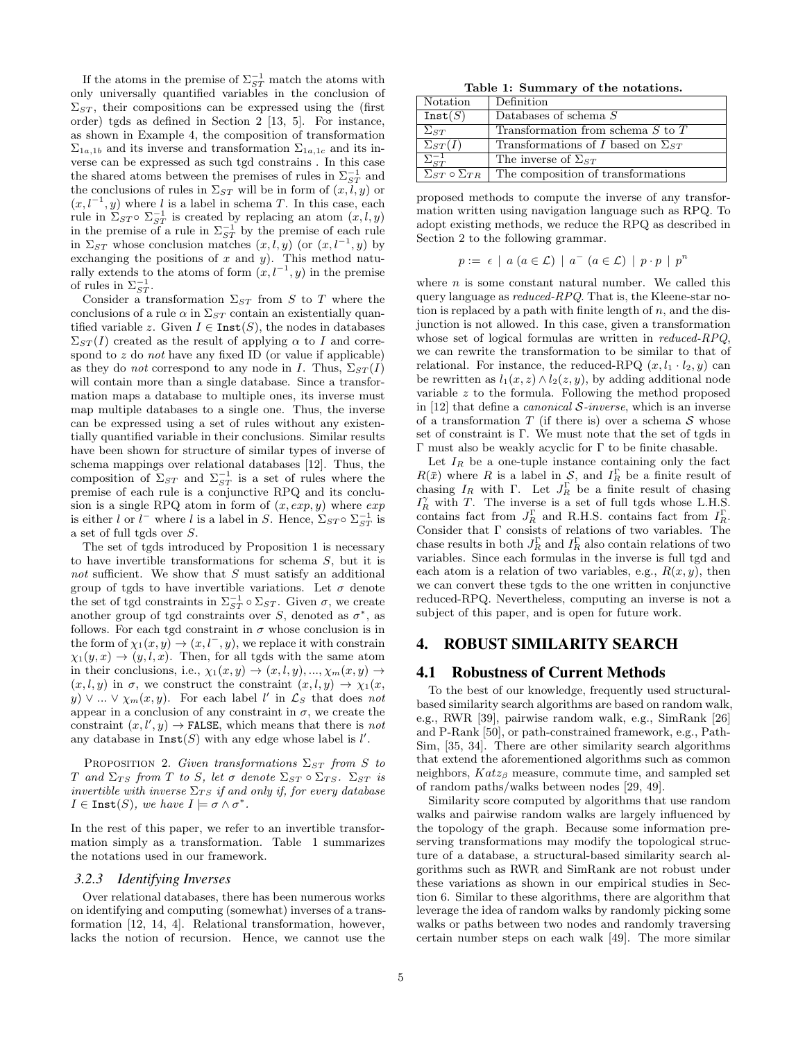If the atoms in the premise of  $\Sigma_{ST}^{-1}$  match the atoms with only universally quantified variables in the conclusion of  $\Sigma_{ST}$ , their compositions can be expressed using the (first order) tgds as defined in Section 2 [13, 5]. For instance, as shown in Example 4, the composition of transformation  $\Sigma_{1a,1b}$  and its inverse and transformation  $\Sigma_{1a,1c}$  and its inverse can be expressed as such tgd constrains . In this case the shared atoms between the premises of rules in  $\Sigma_{ST}^{-1}$  and the conclusions of rules in  $\Sigma_{ST}$  will be in form of  $(x, l, y)$  or  $(x, l^{-1}, y)$  where l is a label in schema T. In this case, each rule in  $\Sigma_{ST} \circ \Sigma_{ST}^{-1}$  is created by replacing an atom  $(x, l, y)$ in the premise of a rule in  $\Sigma_{ST}^{-1}$  by the premise of each rule in  $\Sigma_{ST}$  whose conclusion matches  $(x, l, y)$  (or  $(x, l^{-1}, y)$  by exchanging the positions of  $x$  and  $y$ ). This method naturally extends to the atoms of form  $(x, l^{-1}, y)$  in the premise of rules in  $\Sigma_{ST}^{-1}$ .

Consider a transformation  $\Sigma_{ST}$  from S to T where the conclusions of a rule  $\alpha$  in  $\Sigma_{ST}$  contain an existentially quantified variable z. Given  $I \in \text{Inst}(S)$ , the nodes in databases  $\Sigma_{ST}(I)$  created as the result of applying  $\alpha$  to I and correspond to  $z$  do not have any fixed ID (or value if applicable) as they do *not* correspond to any node in I. Thus,  $\Sigma_{ST}(I)$ will contain more than a single database. Since a transformation maps a database to multiple ones, its inverse must map multiple databases to a single one. Thus, the inverse can be expressed using a set of rules without any existentially quantified variable in their conclusions. Similar results have been shown for structure of similar types of inverse of schema mappings over relational databases [12]. Thus, the composition of  $\Sigma_{ST}$  and  $\Sigma_{ST}^{-1}$  is a set of rules where the premise of each rule is a conjunctive RPQ and its conclusion is a single RPQ atom in form of  $(x, exp, y)$  where  $exp$ is either l or  $l^-$  where l is a label in S. Hence,  $\Sigma_{ST} \circ \Sigma_{ST}^{-1}$  is a set of full tgds over S.

The set of tgds introduced by Proposition 1 is necessary to have invertible transformations for schema S, but it is not sufficient. We show that S must satisfy an additional group of tgds to have invertible variations. Let  $\sigma$  denote the set of tgd constraints in  $\Sigma_{ST}^{-1} \circ \Sigma_{ST}$ . Given  $\sigma$ , we create another group of tgd constraints over S, denoted as  $\sigma^*$ , as follows. For each tgd constraint in  $\sigma$  whose conclusion is in the form of  $\chi_1(x, y) \to (x, l^-, y)$ , we replace it with constrain  $\chi_1(y, x) \to (y, l, x)$ . Then, for all tgds with the same atom in their conclusions, i.e.,  $\chi_1(x, y) \to (x, l, y), ..., \chi_m(x, y) \to$  $(x, l, y)$  in  $\sigma$ , we construct the constraint  $(x, l, y) \rightarrow \chi_1(x,$  $y) \vee ... \vee \chi_m(x, y)$ . For each label l' in  $\mathcal{L}_S$  that does not appear in a conclusion of any constraint in  $\sigma$ , we create the constraint  $(x, l', y) \rightarrow$  FALSE, which means that there is *not* any database in  $\text{Inst}(S)$  with any edge whose label is  $l'$ .

PROPOSITION 2. Given transformations  $\Sigma_{ST}$  from S to T and  $\Sigma_{TS}$  from T to S, let  $\sigma$  denote  $\Sigma_{ST} \circ \Sigma_{TS}$ .  $\Sigma_{ST}$  is invertible with inverse  $\Sigma_{TS}$  if and only if, for every database  $I \in \text{Inst}(S)$ , we have  $I \models \sigma \wedge \sigma^*$ .

In the rest of this paper, we refer to an invertible transformation simply as a transformation. Table 1 summarizes the notations used in our framework.

#### *3.2.3 Identifying Inverses*

Over relational databases, there has been numerous works on identifying and computing (somewhat) inverses of a transformation [12, 14, 4]. Relational transformation, however, lacks the notion of recursion. Hence, we cannot use the

Table 1: Summary of the notations.

| Notation                        | Definition                                  |
|---------------------------------|---------------------------------------------|
| Inst(S)                         | Databases of schema $S$                     |
| $\Sigma_{ST}$                   | Transformation from schema $S$ to $T$       |
| $\Sigma_{ST}(I)$                | Transformations of I based on $\Sigma_{ST}$ |
| $\Sigma_{ST}^{-1}$              | The inverse of $\Sigma_{ST}$                |
| $\Sigma_{ST} \circ \Sigma_{TR}$ | The composition of transformations          |

proposed methods to compute the inverse of any transformation written using navigation language such as RPQ. To adopt existing methods, we reduce the RPQ as described in Section 2 to the following grammar.

$$
p := \epsilon \mid a \ (a \in \mathcal{L}) \mid a^{-} \ (a \in \mathcal{L}) \mid p \cdot p \mid p^{n}
$$

where  $n$  is some constant natural number. We called this query language as reduced-RPQ. That is, the Kleene-star notion is replaced by a path with finite length of  $n$ , and the disjunction is not allowed. In this case, given a transformation whose set of logical formulas are written in *reduced-RPQ*, we can rewrite the transformation to be similar to that of relational. For instance, the reduced-RPQ  $(x, l_1 \cdot l_2, y)$  can be rewritten as  $l_1(x, z) \wedge l_2(z, y)$ , by adding additional node variable z to the formula. Following the method proposed in [12] that define a *canonical*  $S$ -inverse, which is an inverse of a transformation  $T$  (if there is) over a schema  $S$  whose set of constraint is Γ. We must note that the set of tgds in Γ must also be weakly acyclic for Γ to be finite chasable.

Let  $I_R$  be a one-tuple instance containing only the fact  $R(\bar{x})$  where R is a label in S, and  $I_R^{\Gamma}$  be a finite result of chasing  $I_R$  with  $\Gamma$ . Let  $J_R^{\Gamma}$  be a finite result of chasing  $I_R^{\gamma}$  with T. The inverse is a set of full tgds whose L.H.S. contains fact from  $J_R^{\Gamma}$  and R.H.S. contains fact from  $I_R^{\Gamma}$ . Consider that Γ consists of relations of two variables. The chase results in both  $J_R^{\Gamma}$  and  $I_R^{\Gamma}$  also contain relations of two variables. Since each formulas in the inverse is full tgd and each atom is a relation of two variables, e.g.,  $R(x, y)$ , then we can convert these tgds to the one written in conjunctive reduced-RPQ. Nevertheless, computing an inverse is not a subject of this paper, and is open for future work.

### 4. ROBUST SIMILARITY SEARCH

#### 4.1 Robustness of Current Methods

To the best of our knowledge, frequently used structuralbased similarity search algorithms are based on random walk, e.g., RWR [39], pairwise random walk, e.g., SimRank [26] and P-Rank [50], or path-constrained framework, e.g., Path-Sim, [35, 34]. There are other similarity search algorithms that extend the aforementioned algorithms such as common neighbors,  $Katz_{\beta}$  measure, commute time, and sampled set of random paths/walks between nodes [29, 49].

Similarity score computed by algorithms that use random walks and pairwise random walks are largely influenced by the topology of the graph. Because some information preserving transformations may modify the topological structure of a database, a structural-based similarity search algorithms such as RWR and SimRank are not robust under these variations as shown in our empirical studies in Section 6. Similar to these algorithms, there are algorithm that leverage the idea of random walks by randomly picking some walks or paths between two nodes and randomly traversing certain number steps on each walk [49]. The more similar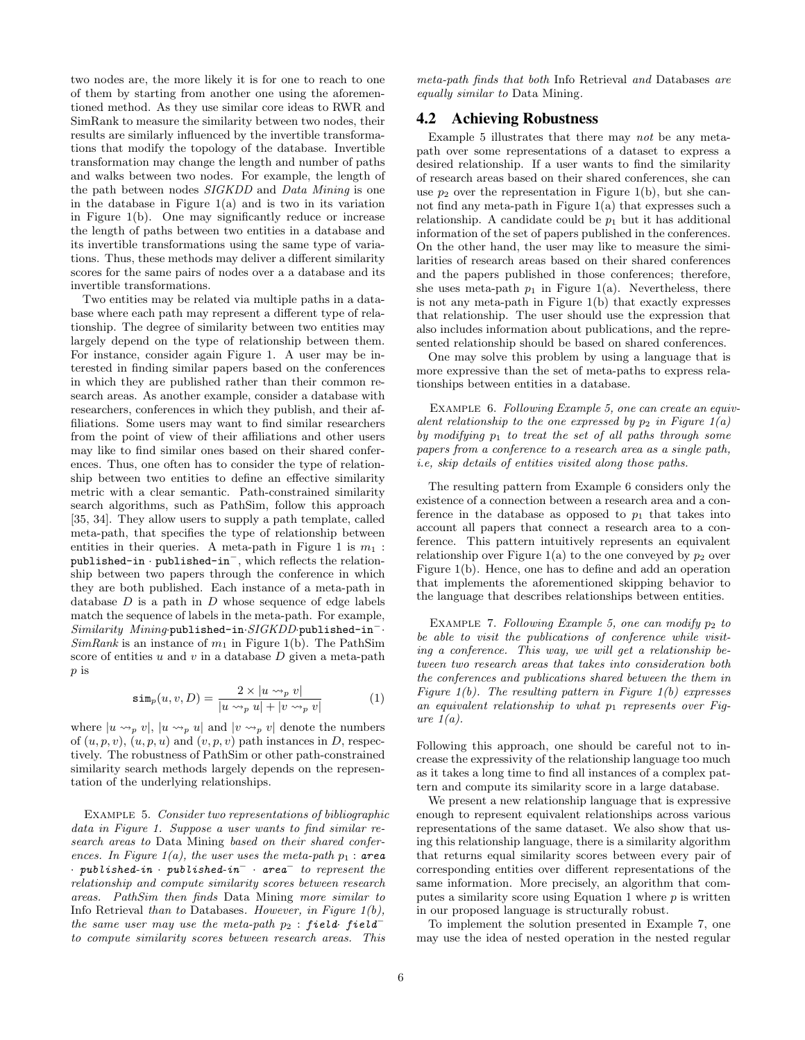two nodes are, the more likely it is for one to reach to one of them by starting from another one using the aforementioned method. As they use similar core ideas to RWR and SimRank to measure the similarity between two nodes, their results are similarly influenced by the invertible transformations that modify the topology of the database. Invertible transformation may change the length and number of paths and walks between two nodes. For example, the length of the path between nodes SIGKDD and Data Mining is one in the database in Figure  $1(a)$  and is two in its variation in Figure 1(b). One may significantly reduce or increase the length of paths between two entities in a database and its invertible transformations using the same type of variations. Thus, these methods may deliver a different similarity scores for the same pairs of nodes over a a database and its invertible transformations.

Two entities may be related via multiple paths in a database where each path may represent a different type of relationship. The degree of similarity between two entities may largely depend on the type of relationship between them. For instance, consider again Figure 1. A user may be interested in finding similar papers based on the conferences in which they are published rather than their common research areas. As another example, consider a database with researchers, conferences in which they publish, and their affiliations. Some users may want to find similar researchers from the point of view of their affiliations and other users may like to find similar ones based on their shared conferences. Thus, one often has to consider the type of relationship between two entities to define an effective similarity metric with a clear semantic. Path-constrained similarity search algorithms, such as PathSim, follow this approach [35, 34]. They allow users to supply a path template, called meta-path, that specifies the type of relationship between entities in their queries. A meta-path in Figure 1 is  $m_1$ : published-in · published-in<sup>−</sup>, which reflects the relationship between two papers through the conference in which they are both published. Each instance of a meta-path in database  $D$  is a path in  $D$  whose sequence of edge labels match the sequence of labels in the meta-path. For example, Similarity Mining·published-in·SIGKDD·published-in<sup>−</sup>·  $SimRank$  is an instance of  $m_1$  in Figure 1(b). The PathSim score of entities  $u$  and  $v$  in a database  $D$  given a meta-path p is

$$
\sin_p(u, v, D) = \frac{2 \times |u \leadsto_p v|}{|u \leadsto_p u| + |v \leadsto_p v|} \tag{1}
$$

where  $|u \leadsto_{p} v|, |u \leadsto_{p} u|$  and  $|v \leadsto_{p} v|$  denote the numbers of  $(u, p, v)$ ,  $(u, p, u)$  and  $(v, p, v)$  path instances in D, respectively. The robustness of PathSim or other path-constrained similarity search methods largely depends on the representation of the underlying relationships.

Example 5. Consider two representations of bibliographic data in Figure 1. Suppose a user wants to find similar research areas to Data Mining based on their shared conferences. In Figure 1(a), the user uses the meta-path  $p_1$ : area  $\cdot$  published-in  $\cdot$  published-in<sup>-</sup>  $\cdot$  area<sup>-</sup> to represent the relationship and compute similarity scores between research areas. PathSim then finds Data Mining more similar to Info Retrieval than to Databases. However, in Figure  $1(b)$ , the same user may use the meta-path  $p_2$ : field· field<sup>-</sup> to compute similarity scores between research areas. This

meta-path finds that both Info Retrieval and Databases are equally similar to Data Mining.

## 4.2 Achieving Robustness

Example 5 illustrates that there may not be any metapath over some representations of a dataset to express a desired relationship. If a user wants to find the similarity of research areas based on their shared conferences, she can use  $p_2$  over the representation in Figure 1(b), but she cannot find any meta-path in Figure 1(a) that expresses such a relationship. A candidate could be  $p_1$  but it has additional information of the set of papers published in the conferences. On the other hand, the user may like to measure the similarities of research areas based on their shared conferences and the papers published in those conferences; therefore, she uses meta-path  $p_1$  in Figure 1(a). Nevertheless, there is not any meta-path in Figure 1(b) that exactly expresses that relationship. The user should use the expression that also includes information about publications, and the represented relationship should be based on shared conferences.

One may solve this problem by using a language that is more expressive than the set of meta-paths to express relationships between entities in a database.

EXAMPLE 6. Following Example 5, one can create an equivalent relationship to the one expressed by  $p_2$  in Figure 1(a) by modifying  $p_1$  to treat the set of all paths through some papers from a conference to a research area as a single path, i.e, skip details of entities visited along those paths.

The resulting pattern from Example 6 considers only the existence of a connection between a research area and a conference in the database as opposed to  $p_1$  that takes into account all papers that connect a research area to a conference. This pattern intuitively represents an equivalent relationship over Figure 1(a) to the one conveyed by  $p_2$  over Figure 1(b). Hence, one has to define and add an operation that implements the aforementioned skipping behavior to the language that describes relationships between entities.

EXAMPLE 7. Following Example 5, one can modify  $p_2$  to be able to visit the publications of conference while visiting a conference. This way, we will get a relationship between two research areas that takes into consideration both the conferences and publications shared between the them in Figure  $1(b)$ . The resulting pattern in Figure  $1(b)$  expresses an equivalent relationship to what  $p_1$  represents over Figure  $1(a)$ .

Following this approach, one should be careful not to increase the expressivity of the relationship language too much as it takes a long time to find all instances of a complex pattern and compute its similarity score in a large database.

We present a new relationship language that is expressive enough to represent equivalent relationships across various representations of the same dataset. We also show that using this relationship language, there is a similarity algorithm that returns equal similarity scores between every pair of corresponding entities over different representations of the same information. More precisely, an algorithm that computes a similarity score using Equation 1 where  $p$  is written in our proposed language is structurally robust.

To implement the solution presented in Example 7, one may use the idea of nested operation in the nested regular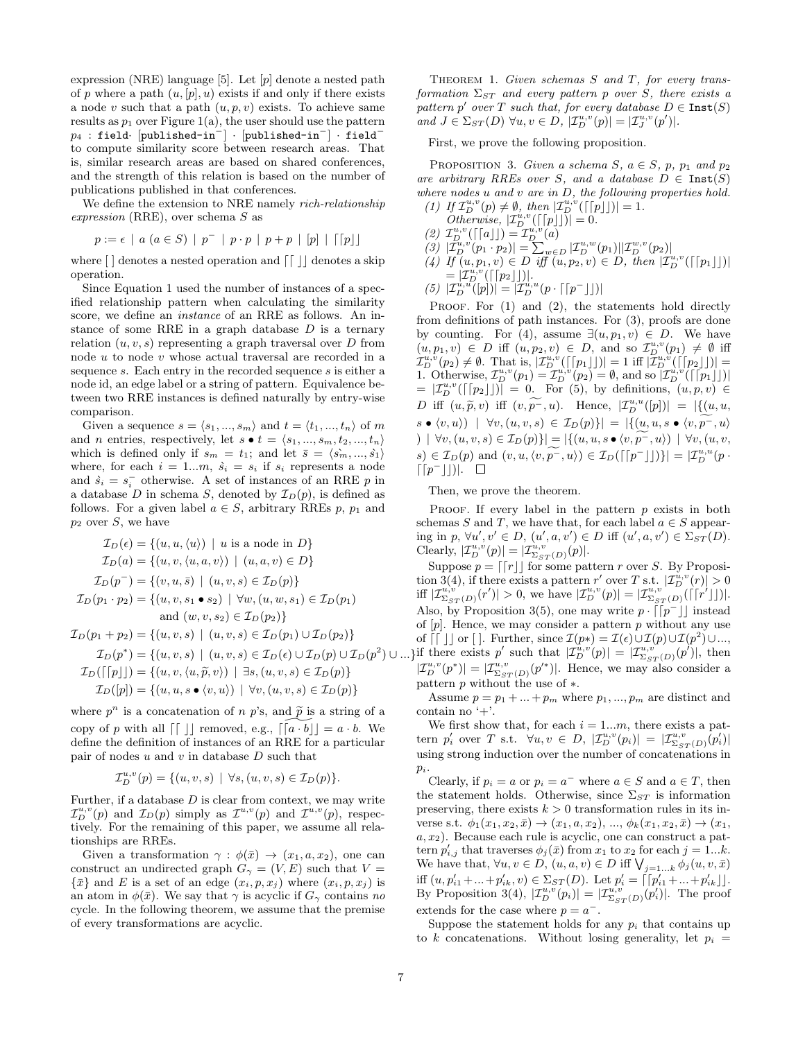expression (NRE) language  $[5]$ . Let  $[p]$  denote a nested path of p where a path  $(u, [p], u)$  exists if and only if there exists a node v such that a path  $(u, p, v)$  exists. To achieve same results as  $p_1$  over Figure 1(a), the user should use the pattern  $p_4$  : field· [published-in<sup>-</sup>] · [published-in<sup>-</sup>] · field<sup>-</sup> to compute similarity score between research areas. That is, similar research areas are based on shared conferences, and the strength of this relation is based on the number of publications published in that conferences.

We define the extension to NRE namely *rich-relationship*  $expression (RRE)$ , over schema  $S$  as

$$
p := \epsilon \mid a \ (a \in S) \mid p^- \mid p \cdot p \mid p + p \mid [p] \mid \lceil [p] \rfloor
$$

where  $[~]$  denotes a nested operation and  $\lceil~|~|$  denotes a skip operation.

Since Equation 1 used the number of instances of a specified relationship pattern when calculating the similarity score, we define an instance of an RRE as follows. An instance of some RRE in a graph database  $D$  is a ternary relation  $(u, v, s)$  representing a graph traversal over D from node u to node v whose actual traversal are recorded in a sequence s. Each entry in the recorded sequence s is either a node id, an edge label or a string of pattern. Equivalence between two RRE instances is defined naturally by entry-wise comparison.

Given a sequence  $s = \langle s_1, ..., s_m \rangle$  and  $t = \langle t_1, ..., t_n \rangle$  of m and *n* entries, respectively, let  $s \bullet t = \langle s_1, ..., s_m, t_2, ..., t_n \rangle$ which is defined only if  $s_m = t_1$ ; and let  $\bar{s} = \langle s_m, ..., s_1 \rangle$ where, for each  $i = 1...m$ ,  $\dot{s}_i = s_i$  if  $s_i$  represents a node and  $\dot{s}_i = s_i^-$  otherwise. A set of instances of an RRE p in a database D in schema S, denoted by  $\mathcal{I}_D(p)$ , is defined as follows. For a given label  $a \in S$ , arbitrary RREs p,  $p_1$  and  $p_2$  over S, we have

$$
\mathcal{I}_D(\epsilon) = \{(u, u, \langle u \rangle) \mid u \text{ is a node in } D\}
$$
  
\n
$$
\mathcal{I}_D(a) = \{(u, v, \langle u, a, v \rangle) \mid (u, a, v) \in D\}
$$
  
\n
$$
\mathcal{I}_D(p^-) = \{(v, u, \bar{s}) \mid (u, v, s) \in \mathcal{I}_D(p)\}
$$
  
\n
$$
\mathcal{I}_D(p_1 \cdot p_2) = \{(u, v, s_1 \bullet s_2) \mid \forall w, (u, w, s_1) \in \mathcal{I}_D(p_1) \text{ and } (w, v, s_2) \in \mathcal{I}_D(p_2)\}
$$
  
\n
$$
\mathcal{I}_D(p_1 + p_2) = \{(u, v, s) \mid (u, v, s) \in \mathcal{I}_D(p_1) \cup \mathcal{I}_D(p_2)\}
$$
  
\n
$$
\mathcal{I}_D(p^*) = \{(u, v, s) \mid (u, v, s) \in \mathcal{I}_D(\epsilon) \cup \mathcal{I}_D(p) \cup \mathcal{I}_D(p^2) \cup ... \}
$$
  
\n
$$
\mathcal{I}_D(\lceil p \rfloor) = \{(u, v, \langle u, \tilde{p}, v \rangle) \mid \exists s, (u, v, s) \in \mathcal{I}_D(p)\}
$$
  
\n
$$
\mathcal{I}_D(p) = \{(u, u, s \bullet \langle v, u \rangle) \mid \forall v, (u, v, s) \in \mathcal{I}_D(p)\}
$$

where  $p^n$  is a concatenation of n p's, and  $\tilde{p}$  is a string of a copy of p with all  $\lceil \int \rceil$  removed, e.g.,  $\lceil \lceil a \cdot b \rceil \rceil = a \cdot b$ . We define the definition of instances of an RRE for a particular pair of nodes  $u$  and  $v$  in database  $D$  such that

$$
\mathcal{I}_D^{u,v}(p)=\{(u,v,s) \ | \ \forall s, (u,v,s) \in \mathcal{I}_D(p)\}.
$$

Further, if a database  $D$  is clear from context, we may write  $\mathcal{I}_D^{u,v}(p)$  and  $\mathcal{I}_D(p)$  simply as  $\mathcal{I}^{u,v}(p)$  and  $\mathcal{I}^{u,v}(p)$ , respectively. For the remaining of this paper, we assume all relationships are RREs.

Given a transformation  $\gamma : \phi(\bar{x}) \to (x_1, a, x_2)$ , one can construct an undirected graph  $G_{\gamma} = (V, E)$  such that  $V =$  $\{\bar{x}\}\$ and E is a set of an edge  $(x_i, p, x_j)$  where  $(x_i, p, x_j)$  is an atom in  $\phi(\bar{x})$ . We say that  $\gamma$  is acyclic if  $G_{\gamma}$  contains no cycle. In the following theorem, we assume that the premise of every transformations are acyclic.

THEOREM 1. Given schemas  $S$  and  $T$ , for every transformation  $\Sigma_{ST}$  and every pattern p over S, there exists a pattern  $p'$  over T such that, for every database  $D \in \texttt{Inst}(S)$ and  $J \in \Sigma_{ST}(D)$   $\forall u, v \in D$ ,  $|\mathcal{I}_{D}^{u,v}(p)| = |\mathcal{I}_{J}^{u,v}(p')|$ .

First, we prove the following proposition.

PROPOSITION 3. Given a schema S,  $a \in S$ , p,  $p_1$  and  $p_2$ are arbitrary RREs over S, and a database  $D \in \text{Inst}(S)$ where nodes  $u$  and  $v$  are in  $D$ , the following properties hold. (1) If  $\mathcal{I}_D^{u,v}(p) \neq \emptyset$ , then  $|\mathcal{I}_D^{u,v}(\lceil [p] \rceil)| = 1$ .

- 
- Otherwise,  $|\mathcal{I}_D^{u,v}(\lceil [p] \rceil)| = 0.$
- (2)  $\mathcal{I}_D^{u,v}(\lceil [a] \rfloor) = \mathcal{I}_D^{u,v}(a)$
- $|\mathcal{I}_{D}^{u,v}(p_1 \cdot p_2)| = \sum_{w \in D} |\mathcal{I}_{D}^{u,w}(p_1)| |\mathcal{I}_{D}^{w,v}(p_2)|$ (4) If  $(u, p_1, v) \in D$  iff  $(u, p_2, v) \in D$ , then  $|\mathcal{I}_D^{u,v}(\lceil p_1 \rfloor)|$
- $=|\mathcal{I}_D^{u,v}(\lceil [p_2 \rfloor]|).$
- (5)  $|\mathcal{I}_D^{u,u}([p])| = |\mathcal{I}_D^{u,u}(p \cdot \lceil [p^-] \rceil)|$

PROOF. For  $(1)$  and  $(2)$ , the statements hold directly from definitions of path instances. For (3), proofs are done by counting. For (4), assume  $\exists (u, p_1, v) \in D$ . We have  $(u, p_1, v) \in D$  iff  $(u, p_2, v) \in D$ , and so  $\mathcal{I}_D^{u,v}(p_1) \neq \emptyset$  iff  $\mathcal{I}_{D}^{u,v}(p_2) \neq \emptyset$ . That is,  $|\mathcal{I}_{D}^{u,v}(\lceil [p_1 \rfloor])| = 1$  iff  $|\mathcal{I}_{D}^{u,v}(\lceil [p_2 \rfloor])| =$ 1. Otherwise,  $\mathcal{I}_{D}^{u,v}(p_1) = \mathcal{I}_{D}^{u,v}(p_2) = \emptyset$ , and so  $|\mathcal{I}_{D}^{u,v}(\lceil p_1 \rfloor)|$  $= |I_{D}^{u,v}(\lceil [p_2 \rfloor])| = 0$ . For (5), by definitions,  $(u, p, v) \in$ D iff  $(u, \widetilde{p}, v)$  iff  $(v, \widetilde{p^-, u})$ . Hence,  $|\mathcal{I}_u^{u,u}([p])| = |\{(u, u, v)\}|\leq \sqrt{2\pi}$  $s \bullet \langle v, u \rangle) \mid \forall v, (u, v, s) \in \mathcal{I}_D(p) \}| = |\{(u, u, s \bullet \langle v, p^{-}, u \rangle)\}|$ ) | ∀v,  $(u, v, s) \in I_D(p)$ }| = |{ $(u, u, s \bullet \langle v, p^{-}, u \rangle)$  | ∀v, $(u, v, \rangle)$  $s) \in \mathcal{I}_D(p)$  and  $(v, u, \langle v, \widetilde{p^-}, u \rangle) \in \mathcal{I}_D(\lceil [p^- \rfloor \rceil)\rceil = |\mathcal{I}_D^{u, u}(p \cdot \widetilde{p^-}, u)|)$  $\lceil (p^{-} \rfloor \rceil).$ 

Then, we prove the theorem.

PROOF. If every label in the pattern  $p$  exists in both schemas S and T, we have that, for each label  $a \in S$  appearing in  $p, \forall u', v' \in D, (u', a, v') \in D$  iff  $(u', a, v') \in \Sigma_{ST}(D)$ . Clearly,  $|\mathcal{I}_{D}^{u,v}(p)| = |\mathcal{I}_{\Sigma_{ST}(D)}^{u,v}(p)|.$ 

Suppose  $p = \lfloor r \rfloor$  for some pattern r over S. By Proposition 3(4), if there exists a pattern r' over T s.t.  $|\mathcal{I}_D^{u,v}(r)| > 0$ iff  $|\mathcal{I}_{\Sigma_{ST}(D)}^{u,v'}(r')| > 0$ , we have  $|\mathcal{I}_{D}^{u,v}(p)| = |\mathcal{I}_{\Sigma_{ST}(D)}^{u,v'}(|[r']|)|$ . Also, by Proposition 3(5), one may write  $p \cdot \lceil \lceil p^- \rceil \rfloor$  instead of  $[p]$ . Hence, we may consider a pattern p without any use of  $\lceil \int \rceil$  or  $\lceil \cdot \rceil$ . Further, since  $\mathcal{I}(p*) = \mathcal{I}(\epsilon) \cup \mathcal{I}(p) \cup \mathcal{I}(p^2) \cup ...$ if there exists p' such that  $|\mathcal{I}_{D}^{\bar{u},v}(p)| = |\mathcal{I}_{\Sigma_{ST}(D)}^{u,v}(p')|$ , then  $|\mathcal{I}_{D}^{u,v}(p^*)| = |\mathcal{I}_{\Sigma_{ST}(D)}^{u,v}(p'^*)|$ . Hence, we may also consider a pattern p without the use of ∗.

Assume  $p = p_1 + \ldots + p_m$  where  $p_1, \ldots, p_m$  are distinct and contain no '+'.

We first show that, for each  $i = 1...m$ , there exists a pattern  $p'_i$  over T s.t.  $\forall u, v \in D, |\mathcal{I}_{D}^{u,v}(p_i)| = |\mathcal{I}_{\Sigma_{ST}(D)}^{u,v}(p'_i)|$ using strong induction over the number of concatenations in  $p_i$ .

Clearly, if  $p_i = a$  or  $p_i = a^-$  where  $a \in S$  and  $a \in T$ , then the statement holds. Otherwise, since  $\Sigma_{ST}$  is information preserving, there exists  $k > 0$  transformation rules in its inverse s.t.  $\phi_1(x_1, x_2, \bar{x}) \to (x_1, a, x_2), ..., \phi_k(x_1, x_2, \bar{x}) \to (x_1,$  $a, x<sub>2</sub>$ ). Because each rule is acyclic, one can construct a pattern  $p'_{i,j}$  that traverses  $\phi_j(\bar{x})$  from  $x_1$  to  $x_2$  for each  $j = 1...k$ . We have that,  $\forall u, v \in D$ ,  $(u, a, v) \in D$  iff  $\bigvee_{j=1...k} \phi_j(u, v, \bar{x})$ iff  $(u, p'_{i1} + ... + p'_{ik}, v) \in \Sigma_{ST}(D)$ . Let  $p'_{i} = \lceil p'_{i1} + ... + p'_{ik} \rceil$ . By Proposition 3(4),  $|\mathcal{I}_{D}^{u,v}(p_i)| = |\mathcal{I}_{\Sigma_{ST}(D)}^{u,v}(p_i)|$ . The proof extends for the case where  $p = a^{-}$ .

Suppose the statement holds for any  $p_i$  that contains up to k concatenations. Without losing generality, let  $p_i =$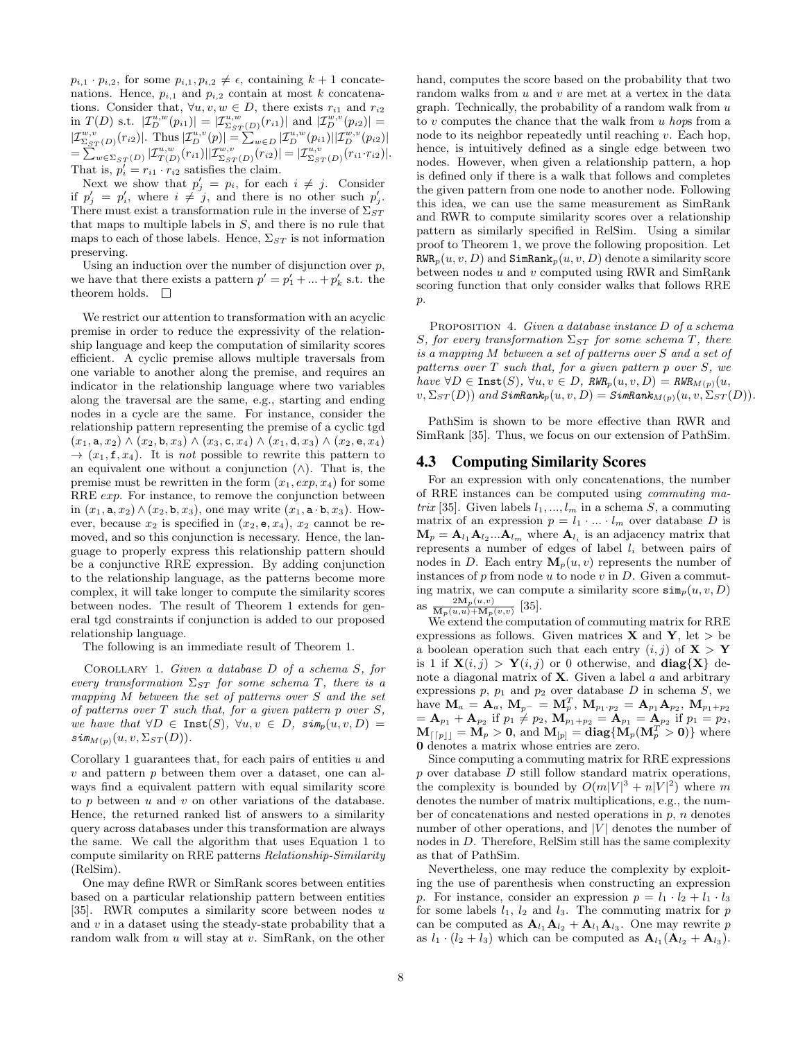$p_{i,1} \tcdot p_{i,2}$ , for some  $p_{i,1}, p_{i,2} \neq \epsilon$ , containing  $k+1$  concatenations. Hence,  $p_{i,1}$  and  $p_{i,2}$  contain at most k concatenations. Consider that,  $\forall u, v, w \in D$ , there exists  $r_{i1}$  and  $r_{i2}$ in  $T(D)$  s.t.  $|\mathcal{I}_{D}^{u,w}(p_{i1})| = |\mathcal{I}_{\Sigma_{ST}(D)}^{u,w}(r_{i1})|$  and  $|\mathcal{I}_{D}^{w,v}(p_{i2})|$  =  $|\mathcal{I}_{\Sigma_{ST}(D)}^{w,v}(r_{i2})|$ . Thus  $|\mathcal{I}_{D}^{u,v}(p)| = \sum_{w \in D} |\mathcal{I}_{D}^{u,w}(p_{i1})| |\mathcal{I}_{D}^{w,v}(p_{i2})|$  $=\sum_{w\in\Sigma_{ST}(D)}^{\infty}|\mathcal{I}_{T(D)}^{u,w}(r_{i1})||\mathcal{I}_{\Sigma_{ST}(D)}^{w,v}(r_{i2})|=|\mathcal{I}_{\Sigma_{ST}(D)}^{u,v}(r_{i1}\cdot r_{i2})|.$ That is,  $p'_i = r_{i1} \cdot r_{i2}$  satisfies the claim.

Next we show that  $p'_j = p_i$ , for each  $i \neq j$ . Consider if  $p'_j = p'_i$ , where  $i \neq j$ , and there is no other such  $p'_j$ . There must exist a transformation rule in the inverse of  $\Sigma_{ST}$ that maps to multiple labels in  $S$ , and there is no rule that maps to each of those labels. Hence,  $\Sigma_{ST}$  is not information preserving.

Using an induction over the number of disjunction over  $p$ , we have that there exists a pattern  $p' = p'_1 + ... + p'_k$  s.t. the theorem holds.  $\square$ 

We restrict our attention to transformation with an acyclic premise in order to reduce the expressivity of the relationship language and keep the computation of similarity scores efficient. A cyclic premise allows multiple traversals from one variable to another along the premise, and requires an indicator in the relationship language where two variables along the traversal are the same, e.g., starting and ending nodes in a cycle are the same. For instance, consider the relationship pattern representing the premise of a cyclic tgd  $(x_1, \mathbf{a}, x_2) \wedge (x_2, \mathbf{b}, x_3) \wedge (x_3, \mathbf{c}, x_4) \wedge (x_1, \mathbf{d}, x_3) \wedge (x_2, \mathbf{e}, x_4)$  $\rightarrow$   $(x_1, \mathbf{f}, x_4)$ . It is not possible to rewrite this pattern to an equivalent one without a conjunction  $(∧)$ . That is, the premise must be rewritten in the form  $(x_1, exp, x_4)$  for some RRE *exp*. For instance, to remove the conjunction between in  $(x_1, \mathbf{a}, x_2) \wedge (x_2, \mathbf{b}, x_3)$ , one may write  $(x_1, \mathbf{a} \cdot \mathbf{b}, x_3)$ . However, because  $x_2$  is specified in  $(x_2, \mathbf{e}, x_4)$ ,  $x_2$  cannot be removed, and so this conjunction is necessary. Hence, the language to properly express this relationship pattern should be a conjunctive RRE expression. By adding conjunction to the relationship language, as the patterns become more complex, it will take longer to compute the similarity scores between nodes. The result of Theorem 1 extends for general tgd constraints if conjunction is added to our proposed relationship language.

The following is an immediate result of Theorem 1.

Corollary 1. Given a database D of a schema S, for every transformation  $\Sigma_{ST}$  for some schema T, there is a mapping M between the set of patterns over S and the set of patterns over  $T$  such that, for a given pattern  $p$  over  $S$ , we have that  $\forall D \in \text{Inst}(S), \ \forall u, v \in D, \ \text{sim}_p(u, v, D) =$  $sim_{M(p)}(u, v, \Sigma_{ST}(D)).$ 

Corollary 1 guarantees that, for each pairs of entities  $u$  and  $v$  and pattern  $p$  between them over a dataset, one can always find a equivalent pattern with equal similarity score to  $p$  between  $u$  and  $v$  on other variations of the database. Hence, the returned ranked list of answers to a similarity query across databases under this transformation are always the same. We call the algorithm that uses Equation 1 to compute similarity on RRE patterns Relationship-Similarity (RelSim).

One may define RWR or SimRank scores between entities based on a particular relationship pattern between entities [35]. RWR computes a similarity score between nodes  $u$ and  $v$  in a dataset using the steady-state probability that a random walk from  $u$  will stay at  $v$ . SimRank, on the other

hand, computes the score based on the probability that two random walks from u and v are met at a vertex in the data graph. Technically, the probability of a random walk from  $u$ to v computes the chance that the walk from u hops from a node to its neighbor repeatedly until reaching  $v$ . Each hop, hence, is intuitively defined as a single edge between two nodes. However, when given a relationship pattern, a hop is defined only if there is a walk that follows and completes the given pattern from one node to another node. Following this idea, we can use the same measurement as SimRank and RWR to compute similarity scores over a relationship pattern as similarly specified in RelSim. Using a similar proof to Theorem 1, we prove the following proposition. Let  $RWR_p(u, v, D)$  and  $SimRank_p(u, v, D)$  denote a similarity score between nodes  $u$  and  $v$  computed using RWR and SimRank scoring function that only consider walks that follows RRE  $p$ .

PROPOSITION 4. Given a database instance D of a schema S, for every transformation  $\Sigma_{ST}$  for some schema T, there is a mapping M between a set of patterns over S and a set of patterns over  $T$  such that, for a given pattern  $p$  over  $S$ , we  $have \forall D \in \text{Inst}(S), \forall u, v \in D, \text{RWR}_p(u, v, D) = \text{RWR}_{M(p)}(u,$  $v, \Sigma_{ST}(D))$  and  $SimRank_p(u, v, D) = SimRank_{M(p)}(u, v, \Sigma_{ST}(D)).$ 

PathSim is shown to be more effective than RWR and SimRank [35]. Thus, we focus on our extension of PathSim.

#### 4.3 Computing Similarity Scores

For an expression with only concatenations, the number of RRE instances can be computed using commuting matrix [35]. Given labels  $l_1, ..., l_m$  in a schema S, a commuting matrix of an expression  $p = l_1 \cdot ... \cdot l_m$  over database D is  $M_p = A_{l_1} A_{l_2} ... A_{l_m}$  where  $A_{l_i}$  is an adjacency matrix that represents a number of edges of label  $l_i$  between pairs of nodes in D. Each entry  $\mathbf{M}_p(u, v)$  represents the number of instances of  $p$  from node  $u$  to node  $v$  in  $D$ . Given a commuting matrix, we can compute a similarity score  $\sin_n(u, v, D)$ as  $\frac{2M_p(u,v)}{M_p(u,u)+M_p(v,v)}$  [35].

We extend the computation of commuting matrix for RRE expressions as follows. Given matrices **X** and **Y**, let  $>$  be a boolean operation such that each entry  $(i, j)$  of  $X > Y$ is 1 if  $\mathbf{X}(i, j) > \mathbf{Y}(i, j)$  or 0 otherwise, and  $\mathbf{diag}\{\mathbf{X}\}\$  denote a diagonal matrix of  $X$ . Given a label a and arbitrary expressions  $p, p_1$  and  $p_2$  over database  $D$  in schema  $S$ , we  $h$ ave  $\mathbf{M}_a = \mathbf{A}_a, \ \mathbf{M}_{p^-} = \mathbf{M}_p^T, \ \mathbf{M}_{p_1 \cdot p_2} = \mathbf{A}_{p_1} \mathbf{A}_{p_2}, \ \mathbf{M}_{p_1 + p_2}$  $= \mathbf{A}_{p_1} + \mathbf{A}_{p_2}$  if  $p_1 \neq p_2$ ,  $\mathbf{M}_{p_1+p_2} = \mathbf{A}_{p_1} = \mathbf{A}_{p_2}$  if  $p_1 = p_2$ ,  $\mathbf{M}_{\left\lceil\left\lceil p\right\rceil\right\rceil} = \mathbf{M}_p > \mathbf{0}, \text{ and } \mathbf{M}_{\left\lceil p\right\rceil} = \textbf{diag}\{\mathbf{M}_p(\mathbf{M}_p^T > \mathbf{0})\}$  where 0 denotes a matrix whose entries are zero.

Since computing a commuting matrix for RRE expressions  $p$  over database  $D$  still follow standard matrix operations, the complexity is bounded by  $O(m|V|^3 + n|V|^2)$  where m denotes the number of matrix multiplications, e.g., the number of concatenations and nested operations in  $p$ ,  $n$  denotes number of other operations, and  $|V|$  denotes the number of nodes in D. Therefore, RelSim still has the same complexity as that of PathSim.

Nevertheless, one may reduce the complexity by exploiting the use of parenthesis when constructing an expression p. For instance, consider an expression  $p = l_1 \cdot l_2 + l_1 \cdot l_3$ for some labels  $l_1$ ,  $l_2$  and  $l_3$ . The commuting matrix for p can be computed as  $A_{l_1}A_{l_2} + A_{l_1}A_{l_3}$ . One may rewrite p as  $l_1 \cdot (l_2 + l_3)$  which can be computed as  $\mathbf{A}_{l_1}(\mathbf{A}_{l_2} + \mathbf{A}_{l_3})$ .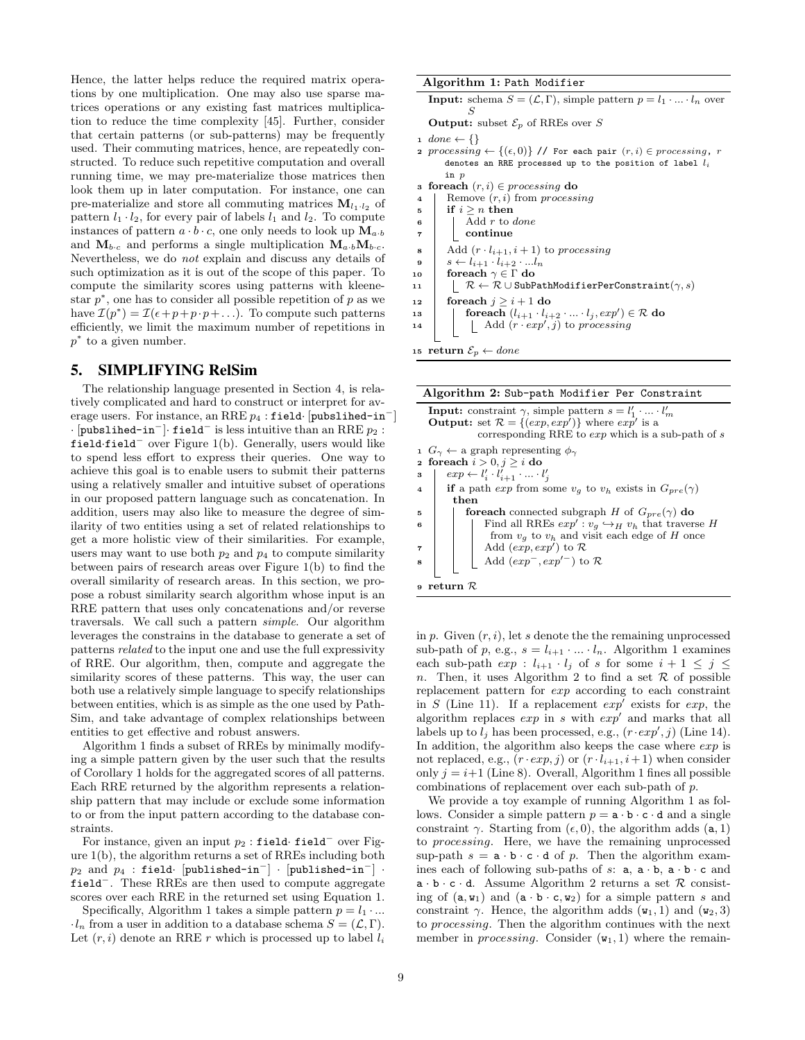Hence, the latter helps reduce the required matrix operations by one multiplication. One may also use sparse matrices operations or any existing fast matrices multiplication to reduce the time complexity [45]. Further, consider that certain patterns (or sub-patterns) may be frequently used. Their commuting matrices, hence, are repeatedly constructed. To reduce such repetitive computation and overall running time, we may pre-materialize those matrices then look them up in later computation. For instance, one can pre-materialize and store all commuting matrices  $M_{l_1\ldots l_p}$  of pattern  $l_1 \cdot l_2$ , for every pair of labels  $l_1$  and  $l_2$ . To compute instances of pattern  $a \cdot b \cdot c$ , one only needs to look up  $\mathbf{M}_{a \cdot b}$ and  $M_{b,c}$  and performs a single multiplication  $M_{a,b}M_{b,c}$ . Nevertheless, we do not explain and discuss any details of such optimization as it is out of the scope of this paper. To compute the similarity scores using patterns with kleenestar  $p^*$ , one has to consider all possible repetition of  $p$  as we have  $\mathcal{I}(p^*) = \mathcal{I}(\epsilon + p + p \cdot p + \ldots)$ . To compute such patterns efficiently, we limit the maximum number of repetitions in  $p^*$  to a given number.

## 5. SIMPLIFYING RelSim

The relationship language presented in Section 4, is relatively complicated and hard to construct or interpret for average users. For instance, an RRE  $p_4$ : field· [pubslihed-in<sup>-</sup>]  $\cdot$  [pubslihed-in<sup>-</sup>] $\cdot$  field<sup>-</sup> is less intuitive than an RRE  $p_2$  : field·field<sup>−</sup> over Figure 1(b). Generally, users would like to spend less effort to express their queries. One way to achieve this goal is to enable users to submit their patterns using a relatively smaller and intuitive subset of operations in our proposed pattern language such as concatenation. In addition, users may also like to measure the degree of similarity of two entities using a set of related relationships to get a more holistic view of their similarities. For example, users may want to use both  $p_2$  and  $p_4$  to compute similarity between pairs of research areas over Figure 1(b) to find the overall similarity of research areas. In this section, we propose a robust similarity search algorithm whose input is an RRE pattern that uses only concatenations and/or reverse traversals. We call such a pattern simple. Our algorithm leverages the constrains in the database to generate a set of patterns related to the input one and use the full expressivity of RRE. Our algorithm, then, compute and aggregate the similarity scores of these patterns. This way, the user can both use a relatively simple language to specify relationships between entities, which is as simple as the one used by Path-Sim, and take advantage of complex relationships between entities to get effective and robust answers.

Algorithm 1 finds a subset of RREs by minimally modifying a simple pattern given by the user such that the results of Corollary 1 holds for the aggregated scores of all patterns. Each RRE returned by the algorithm represents a relationship pattern that may include or exclude some information to or from the input pattern according to the database constraints.

For instance, given an input  $p_2$ : field· field<sup>-</sup> over Figure 1(b), the algorithm returns a set of RREs including both  $p_2$  and  $p_4$  : field· [published-in<sup>-</sup>] · [published-in<sup>-</sup>] · field<sup>−</sup>. These RREs are then used to compute aggregate scores over each RRE in the returned set using Equation 1.

Specifically, Algorithm 1 takes a simple pattern  $p = l_1 \cdots$  $l_n$  from a user in addition to a database schema  $S = (\mathcal{L}, \Gamma)$ . Let  $(r, i)$  denote an RRE r which is processed up to label  $l_i$ 

## Algorithm 1: Path Modifier

**Input:** schema  $S = (\mathcal{L}, \Gamma)$ , simple pattern  $p = l_1 \cdot ... \cdot l_n$  over S

**Output:** subset  $\mathcal{E}_p$  of RREs over S

1 done  $\leftarrow \{\}$ 

- 2 processing  $\leftarrow \{(\epsilon, 0)\}$  // For each pair  $(r, i) \in processing$ , r denotes an RRE processed up to the position of label  $l_i$ in p
- 3 foreach  $(r, i) \in processing$  do
- 4 | Remove  $(r, i)$  from processing
- $\begin{array}{c|c|c|c} 5 & \text{if } i \geq n \text{ then} \end{array}$ <sup>6</sup> Add r to done
- <sup>7</sup> continue
- 8 Add  $(r \cdot l_{i+1}, i+1)$  to processing
- 
- $\begin{array}{c|c} \mathbf{9} & s \leftarrow l_{i+1} \cdot l_{i+2} \cdot ... l_n \ \mathbf{10} & \textbf{foreach } \gamma \in \Gamma \textbf{ do} \end{array}$ foreach  $\gamma \in \Gamma$ do
- 11  $\mathcal{R} \leftarrow \mathcal{R} \cup \text{SubPathModificationPerConstraint}(\gamma, s)$
- 12 foreach  $j \geq i+1$  do
- $\begin{array}{|c|c|c|}\n 13 & \quad \text{for each}\,\, (l_{i+1}\cdot l_{i+2}\cdot...\cdot l_j,exp')\in \mathcal{R} \text{ do} \end{array}$

$$
14 \quad | \quad | \quad | \quad \text{Add} \ (r \cdot exp', j) \ \text{to processing}
$$

15 return  $\mathcal{E}_p \leftarrow$  done

| Algorithm 2: Sub-path Modifier Per Constraint                                                 |  |  |  |  |  |
|-----------------------------------------------------------------------------------------------|--|--|--|--|--|
| <b>Input:</b> constraint $\gamma$ , simple pattern $s = l'_1 \cdot  \cdot l'_m$               |  |  |  |  |  |
| <b>Output:</b> set $\mathcal{R} = \{(exp, exp')\}$ where $exp'$ is a                          |  |  |  |  |  |
| corresponding RRE to $exp$ which is a sub-path of s                                           |  |  |  |  |  |
| $1 G_{\gamma} \leftarrow$ a graph representing $\phi_{\gamma}$                                |  |  |  |  |  |
| 2 foreach $i > 0, j \geq i$ do                                                                |  |  |  |  |  |
| $exp \leftarrow l'_i \cdot l'_{i+1} \cdot \ldots \cdot l'_i$<br>3                             |  |  |  |  |  |
| if a path exp from some $v_q$ to $v_h$ exists in $G_{pre}(\gamma)$<br>$\overline{\mathbf{4}}$ |  |  |  |  |  |
| then                                                                                          |  |  |  |  |  |
| <b>foreach</b> connected subgraph H of $G_{pre}(\gamma)$ do<br>5                              |  |  |  |  |  |
| Find all RREs $exp': v_q \hookrightarrow_H v_h$ that traverse H<br>6                          |  |  |  |  |  |
| from $v_q$ to $v_h$ and visit each edge of H once                                             |  |  |  |  |  |
| Add $(exp, exp')$ to $\mathcal{R}$<br>$\overline{7}$                                          |  |  |  |  |  |
| Add $(exp^-, exp'^-)$ to $\mathcal{R}$<br>8                                                   |  |  |  |  |  |
|                                                                                               |  |  |  |  |  |



in  $p$ . Given  $(r, i)$ , let s denote the the remaining unprocessed sub-path of p, e.g.,  $s = l_{i+1} \cdot ... \cdot l_n$ . Algorithm 1 examines each sub-path  $exp: l_{i+1} \cdot l_j$  of s for some  $i + 1 \leq j \leq$ n. Then, it uses Algorithm 2 to find a set  $R$  of possible replacement pattern for exp according to each constraint in S (Line 11). If a replacement  $exp^{\prime}$  exists for  $exp$ , the algorithm replaces  $exp$  in s with  $exp'$  and marks that all labels up to  $l_j$  has been processed, e.g.,  $(r \cdot exp', j)$  (Line 14). In addition, the algorithm also keeps the case where  $\exp$  is not replaced, e.g.,  $(r \cdot exp, j)$  or  $(r \cdot l_{i+1}, i+1)$  when consider only  $i = i+1$  (Line 8). Overall, Algorithm 1 fines all possible combinations of replacement over each sub-path of p.

We provide a toy example of running Algorithm 1 as follows. Consider a simple pattern  $p = a \cdot b \cdot c \cdot d$  and a single constraint  $\gamma$ . Starting from ( $\epsilon$ , 0), the algorithm adds (**a**, 1) to processing. Here, we have the remaining unprocessed sup-path  $s = a \cdot b \cdot c \cdot d$  of p. Then the algorithm examines each of following sub-paths of  $s: a, a \cdot b, a \cdot b \cdot c$  and  $a \cdot b \cdot c \cdot d$ . Assume Algorithm 2 returns a set  $\mathcal R$  consisting of  $(a, w_1)$  and  $(a \cdot b \cdot c, w_2)$  for a simple pattern s and constraint  $\gamma$ . Hence, the algorithm adds  $(\mathbf{w}_1, 1)$  and  $(\mathbf{w}_2, 3)$ to processing. Then the algorithm continues with the next member in *processing*. Consider  $(w_1, 1)$  where the remain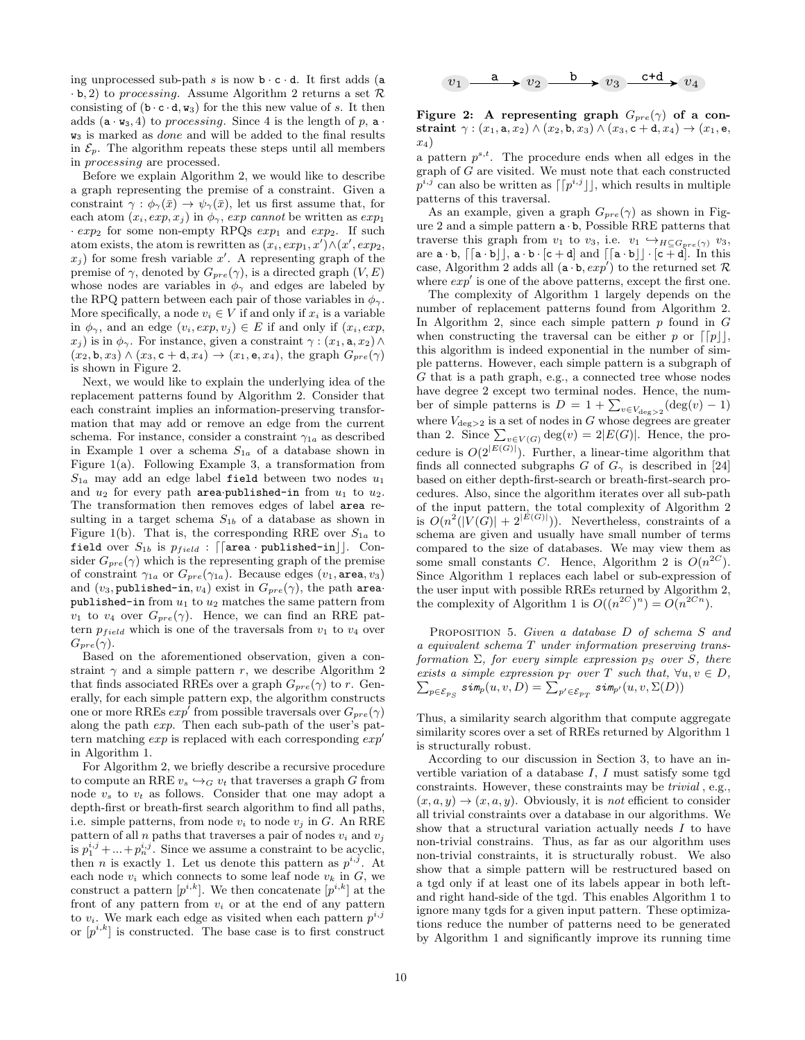ing unprocessed sub-path  $s$  is now  $b \cdot c \cdot d$ . It first adds (a  $\cdot$  b, 2) to processing. Assume Algorithm 2 returns a set  $\mathcal{R}$ consisting of  $(b \cdot c \cdot d, w_3)$  for the this new value of s. It then adds  $(a \cdot w_3, 4)$  to processing. Since 4 is the length of p,  $a \cdot w_3$ . w<sup>3</sup> is marked as done and will be added to the final results in  $\mathcal{E}_p$ . The algorithm repeats these steps until all members in processing are processed.

Before we explain Algorithm 2, we would like to describe a graph representing the premise of a constraint. Given a constraint  $\gamma : \phi_{\gamma}(\bar{x}) \to \psi_{\gamma}(\bar{x})$ , let us first assume that, for each atom  $(x_i, exp, x_j)$  in  $\phi_{\gamma}$ , exp cannot be written as  $exp_1$  $exp<sub>2</sub>$  for some non-empty RPQs  $exp<sub>1</sub>$  and  $exp<sub>2</sub>$ . If such atom exists, the atom is rewritten as  $(x_i, exp_1, x') \wedge (x', exp_2, x')$  $x_j$ ) for some fresh variable x'. A representing graph of the premise of  $\gamma$ , denoted by  $G_{pre}(\gamma)$ , is a directed graph  $(V, E)$ whose nodes are variables in  $\phi_{\gamma}$  and edges are labeled by the RPQ pattern between each pair of those variables in  $\phi_{\gamma}$ . More specifically, a node  $v_i \in V$  if and only if  $x_i$  is a variable in  $\phi_{\gamma}$ , and an edge  $(v_i, exp, v_j) \in E$  if and only if  $(x_i, exp, v_j)$  $x_i$ ) is in  $\phi_\gamma$ . For instance, given a constraint  $\gamma$  :  $(x_1, \mathbf{a}, x_2) \wedge$  $(x_2, \mathbf{b}, x_3) \wedge (x_3, \mathbf{c} + \mathbf{d}, x_4) \rightarrow (x_1, \mathbf{e}, x_4)$ , the graph  $G_{pre}(\gamma)$ is shown in Figure 2.

Next, we would like to explain the underlying idea of the replacement patterns found by Algorithm 2. Consider that each constraint implies an information-preserving transformation that may add or remove an edge from the current schema. For instance, consider a constraint  $\gamma_{1a}$  as described in Example 1 over a schema  $S_{1a}$  of a database shown in Figure 1(a). Following Example 3, a transformation from  $S_{1a}$  may add an edge label field between two nodes  $u_1$ and  $u_2$  for every path area-published-in from  $u_1$  to  $u_2$ . The transformation then removes edges of label area resulting in a target schema  $S_{1b}$  of a database as shown in Figure 1(b). That is, the corresponding RRE over  $S_{1a}$  to field over  $S_{1b}$  is  $p_{field}$ : [[area · published-in]]. Consider  $G_{pre}(\gamma)$  which is the representing graph of the premise of constraint  $\gamma_{1a}$  or  $G_{pre}(\gamma_{1a})$ . Because edges  $(v_1, \text{area}, v_3)$ and  $(v_3,$  published-in,  $v_4$ ) exist in  $G_{pre}(\gamma)$ , the path areapublished-in from  $u_1$  to  $u_2$  matches the same pattern from  $v_1$  to  $v_4$  over  $G_{pre}(\gamma)$ . Hence, we can find an RRE pattern  $p_{field}$  which is one of the traversals from  $v_1$  to  $v_4$  over  $G_{pre}(\gamma)$ .

Based on the aforementioned observation, given a constraint  $\gamma$  and a simple pattern r, we describe Algorithm 2 that finds associated RREs over a graph  $G_{pre}(\gamma)$  to r. Generally, for each simple pattern exp, the algorithm constructs one or more RREs  $exp'$  from possible traversals over  $G_{pre}(\gamma)$ along the path exp. Then each sub-path of the user's pattern matching  $exp$  is replaced with each corresponding  $exp<sup>0</sup>$ in Algorithm 1.

For Algorithm 2, we briefly describe a recursive procedure to compute an RRE  $v_s \hookrightarrow_G v_t$  that traverses a graph G from node  $v_s$  to  $v_t$  as follows. Consider that one may adopt a depth-first or breath-first search algorithm to find all paths, i.e. simple patterns, from node  $v_i$  to node  $v_j$  in G. An RRE pattern of all *n* paths that traverses a pair of nodes  $v_i$  and  $v_j$ is  $p_1^{i,j} + ... + p_n^{i,j}$ . Since we assume a constraint to be acyclic, then *n* is exactly 1. Let us denote this pattern as  $p^{i,j}$ . At each node  $v_i$  which connects to some leaf node  $v_k$  in  $G$ , we construct a pattern  $[p^{i,k}]$ . We then concatenate  $[p^{i,k}]$  at the front of any pattern from  $v_i$  or at the end of any pattern to  $v_i$ . We mark each edge as visited when each pattern  $p^{i,j}$ or  $[p^{i,k}]$  is constructed. The base case is to first construct



Figure 2: A representing graph  $G_{pre}(\gamma)$  of a constraint  $\gamma$  :  $(x_1, \mathsf{a}, x_2) \wedge (x_2, \mathsf{b}, x_3) \wedge (x_3, \mathsf{c} + \mathsf{d}, x_4) \rightarrow (x_1, \mathsf{e},$  $x_4$ 

a pattern  $p^{s,t}$ . The procedure ends when all edges in the graph of G are visited. We must note that each constructed  $\bar{p}^{i,j}$  can also be written as  $\lceil \lceil p^{i,j} \rfloor \rceil$ , which results in multiple patterns of this traversal.

As an example, given a graph  $G_{pre}(\gamma)$  as shown in Figure 2 and a simple pattern  $\mathbf{a} \cdot \mathbf{b}$ , Possible RRE patterns that traverse this graph from  $v_1$  to  $v_3$ , i.e.  $v_1 \leftrightarrow_{H \subseteq G_{pre}(\gamma)} v_3$ , are  $\mathbf{a} \cdot \mathbf{b}$ ,  $\lceil [\mathbf{a} \cdot \mathbf{b}]]$ ,  $\mathbf{a} \cdot \mathbf{b} \cdot [\mathbf{c} + \mathbf{d}]$  and  $\lceil [\mathbf{a} \cdot \mathbf{b}]] \cdot [\mathbf{c} + \mathbf{d}]$ . In this case, Algorithm 2 adds all  $(a \cdot b, exp')$  to the returned set R where  $exp'$  is one of the above patterns, except the first one.

The complexity of Algorithm 1 largely depends on the number of replacement patterns found from Algorithm 2. In Algorithm 2, since each simple pattern  $p$  found in  $G$ when constructing the traversal can be either p or  $\lceil p \rceil$ , this algorithm is indeed exponential in the number of simple patterns. However, each simple pattern is a subgraph of G that is a path graph, e.g., a connected tree whose nodes have degree 2 except two terminal nodes. Hence, the number of simple patterns is  $D = 1 + \sum_{v \in V_{\text{deg}>2}} (\text{deg}(v) - 1)$ where  $V_{\text{deg}>2}$  is a set of nodes in G whose degrees are greater than 2. Since  $\sum_{v \in V(G)} \deg(v) = 2|E(G)|$ . Hence, the procedure is  $O(2^{|E(G)|})$ . Further, a linear-time algorithm that finds all connected subgraphs G of  $G_\gamma$  is described in [24] based on either depth-first-search or breath-first-search procedures. Also, since the algorithm iterates over all sub-path of the input pattern, the total complexity of Algorithm 2 is  $O(n^2(|V(G)|+2^{|E(G)|}))$ . Nevertheless, constraints of a schema are given and usually have small number of terms compared to the size of databases. We may view them as some small constants C. Hence, Algorithm 2 is  $O(n^{2C})$ . Since Algorithm 1 replaces each label or sub-expression of the user input with possible RREs returned by Algorithm 2, the complexity of Algorithm 1 is  $O((n^{2C})^n) = O(n^{2Cn}).$ 

PROPOSITION 5. Given a database D of schema S and a equivalent schema T under information preserving transformation  $\Sigma$ , for every simple expression  $p_S$  over S, there exists a simple expression  $p_T$  over T such that,  $\forall u, v \in D$ ,  $\sum_{p\in \mathcal{E}_{PS}}\mathit{sim}_p(u,v,D) = \sum_{p'\in \mathcal{E}_{PT}}\mathit{sim}_{p'}(u,v,\Sigma(D))$ 

Thus, a similarity search algorithm that compute aggregate similarity scores over a set of RREs returned by Algorithm 1 is structurally robust.

According to our discussion in Section 3, to have an invertible variation of a database  $I, I$  must satisfy some tgd constraints. However, these constraints may be trivial , e.g.,  $(x, a, y) \rightarrow (x, a, y)$ . Obviously, it is not efficient to consider all trivial constraints over a database in our algorithms. We show that a structural variation actually needs  $I$  to have non-trivial constrains. Thus, as far as our algorithm uses non-trivial constraints, it is structurally robust. We also show that a simple pattern will be restructured based on a tgd only if at least one of its labels appear in both leftand right hand-side of the tgd. This enables Algorithm 1 to ignore many tgds for a given input pattern. These optimizations reduce the number of patterns need to be generated by Algorithm 1 and significantly improve its running time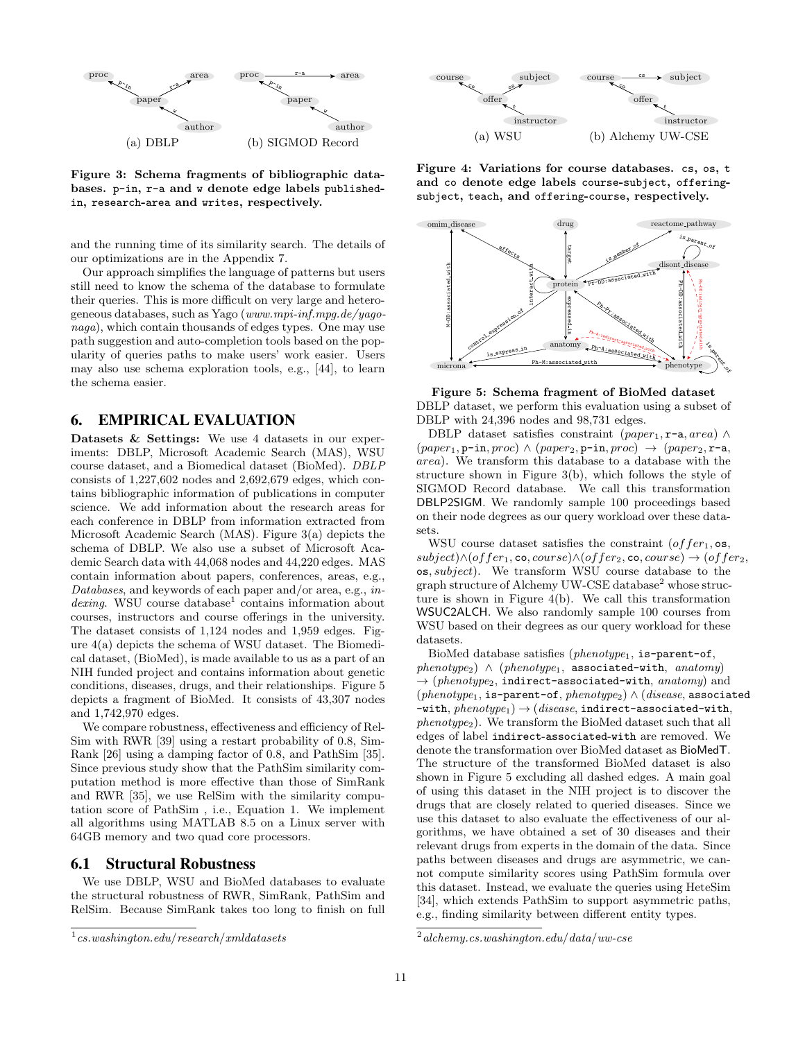

Figure 3: Schema fragments of bibliographic databases. p-in, r-a and w denote edge labels publishedin, research-area and writes, respectively.

and the running time of its similarity search. The details of our optimizations are in the Appendix 7.

Our approach simplifies the language of patterns but users still need to know the schema of the database to formulate their queries. This is more difficult on very large and heterogeneous databases, such as Yago (www.mpi-inf.mpg.de/yagonaga), which contain thousands of edges types. One may use path suggestion and auto-completion tools based on the popularity of queries paths to make users' work easier. Users may also use schema exploration tools, e.g., [44], to learn the schema easier.

## 6. EMPIRICAL EVALUATION

Datasets & Settings: We use 4 datasets in our experiments: DBLP, Microsoft Academic Search (MAS), WSU course dataset, and a Biomedical dataset (BioMed). DBLP consists of 1,227,602 nodes and 2,692,679 edges, which contains bibliographic information of publications in computer science. We add information about the research areas for each conference in DBLP from information extracted from Microsoft Academic Search (MAS). Figure 3(a) depicts the schema of DBLP. We also use a subset of Microsoft Academic Search data with 44,068 nodes and 44,220 edges. MAS contain information about papers, conferences, areas, e.g., Databases, and keywords of each paper and/or area, e.g., in $dering.$  WSU course database<sup>1</sup> contains information about courses, instructors and course offerings in the university. The dataset consists of 1,124 nodes and 1,959 edges. Figure 4(a) depicts the schema of WSU dataset. The Biomedical dataset, (BioMed), is made available to us as a part of an NIH funded project and contains information about genetic conditions, diseases, drugs, and their relationships. Figure 5 depicts a fragment of BioMed. It consists of 43,307 nodes and 1,742,970 edges.

We compare robustness, effectiveness and efficiency of Rel-Sim with RWR [39] using a restart probability of 0.8, Sim-Rank [26] using a damping factor of 0.8, and PathSim [35]. Since previous study show that the PathSim similarity computation method is more effective than those of SimRank and RWR [35], we use RelSim with the similarity computation score of PathSim , i.e., Equation 1. We implement all algorithms using MATLAB 8.5 on a Linux server with 64GB memory and two quad core processors.

#### 6.1 Structural Robustness

We use DBLP, WSU and BioMed databases to evaluate the structural robustness of RWR, SimRank, PathSim and RelSim. Because SimRank takes too long to finish on full



Figure 4: Variations for course databases. cs, os, t and co denote edge labels course-subject, offeringsubject, teach, and offering-course, respectively.



Figure 5: Schema fragment of BioMed dataset DBLP dataset, we perform this evaluation using a subset of DBLP with 24,396 nodes and 98,731 edges.

DBLP dataset satisfies constraint (paper<sub>1</sub>, r-a, area) ∧  $(paper_1, p-in, proc) \wedge (paper_2, p-in, proc) \rightarrow (paper_2, r-a,$ area). We transform this database to a database with the structure shown in Figure 3(b), which follows the style of SIGMOD Record database. We call this transformation DBLP2SIGM. We randomly sample 100 proceedings based on their node degrees as our query workload over these datasets.

WSU course dataset satisfies the constraint  $(offer_1, os,$  $subject) \land (offer_1, \text{co}, course) \land (offer_2, \text{co}, course) \rightarrow (offer_2,$ os, subject). We transform WSU course database to the graph structure of Alchemy UW-CSE database<sup>2</sup> whose structure is shown in Figure 4(b). We call this transformation WSUC2ALCH. We also randomly sample 100 courses from WSU based on their degrees as our query workload for these datasets.

BioMed database satisfies ( $phenotype_1$ , is-parent-of,  $phenotype_2) \wedge (phenotype_1, associated-with, anatomy)$  $\rightarrow$  (phenotype<sub>2</sub>, indirect-associated-with, anatomy) and  $(phenotype<sub>1</sub>, is-parent-of, phenotype<sub>2</sub>) \wedge (disease, associated)$  $-$ with,  $phenotype_1) \rightarrow (disease, indirect-associated-with,$ phenotype2). We transform the BioMed dataset such that all edges of label indirect-associated-with are removed. We denote the transformation over BioMed dataset as BioMedT. The structure of the transformed BioMed dataset is also shown in Figure 5 excluding all dashed edges. A main goal of using this dataset in the NIH project is to discover the drugs that are closely related to queried diseases. Since we use this dataset to also evaluate the effectiveness of our algorithms, we have obtained a set of 30 diseases and their relevant drugs from experts in the domain of the data. Since paths between diseases and drugs are asymmetric, we cannot compute similarity scores using PathSim formula over this dataset. Instead, we evaluate the queries using HeteSim [34], which extends PathSim to support asymmetric paths, e.g., finding similarity between different entity types.

 $1 \, cs. was hington.edu/research/mldatasets$ 

 $^{2}$ alchemy.cs.washington.edu/data/uw-cse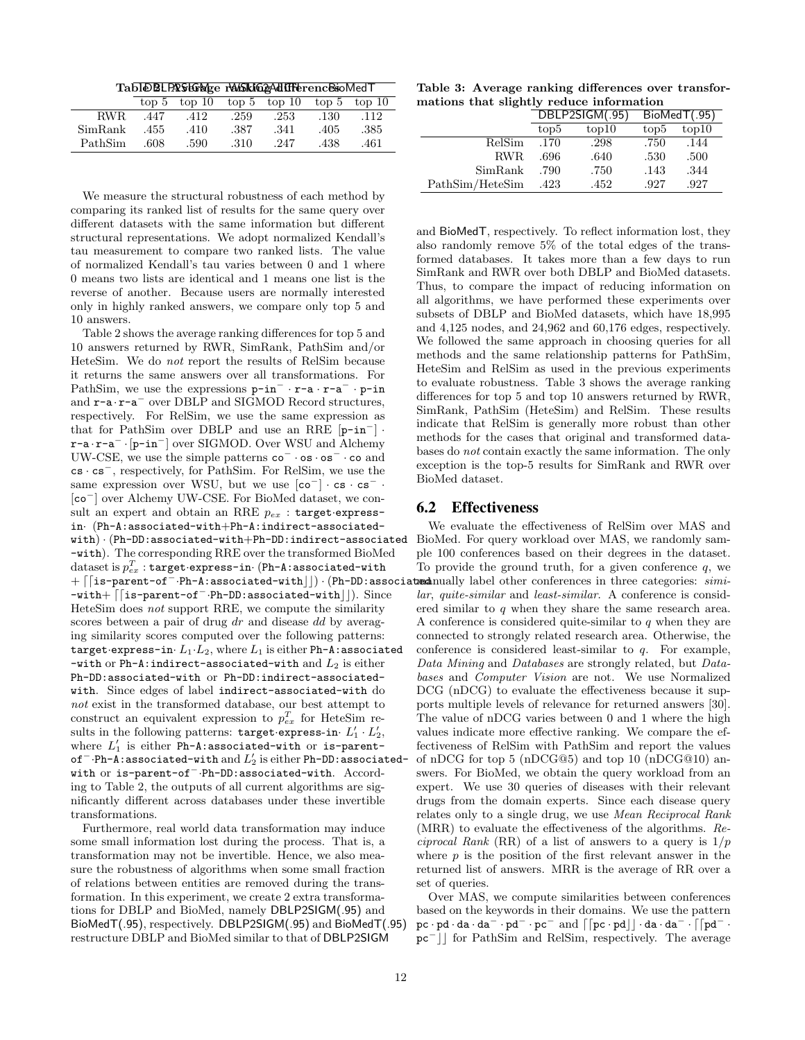| Tabl@BLPAStGrWge r\MSkIG&Adiff&renc&soMedT |  |  |  |  |
|--------------------------------------------|--|--|--|--|
|--------------------------------------------|--|--|--|--|

|         |      | top 5 top 10 top 5 top 10 top 5 top 10 |      |      |      |      |
|---------|------|----------------------------------------|------|------|------|------|
| RWR.    | .447 | .412                                   | .259 | .253 | .130 | .112 |
| SimRank | .455 | .410                                   | .387 | .341 | .405 | .385 |
| PathSim | .608 | .590                                   | .310 | .247 | .438 | .461 |

We measure the structural robustness of each method by comparing its ranked list of results for the same query over different datasets with the same information but different structural representations. We adopt normalized Kendall's tau measurement to compare two ranked lists. The value of normalized Kendall's tau varies between 0 and 1 where 0 means two lists are identical and 1 means one list is the reverse of another. Because users are normally interested only in highly ranked answers, we compare only top 5 and 10 answers.

Table 2 shows the average ranking differences for top 5 and 10 answers returned by RWR, SimRank, PathSim and/or HeteSim. We do not report the results of RelSim because it returns the same answers over all transformations. For PathSim, we use the expressions p-in<sup>−</sup> · r-a · r-a<sup>−</sup> · p-in and r-a · r-a<sup>−</sup> over DBLP and SIGMOD Record structures, respectively. For RelSim, we use the same expression as that for PathSim over DBLP and use an RRE  $[p-in^-]$ . r-a · r-a<sup>−</sup> ·[p-in<sup>−</sup>] over SIGMOD. Over WSU and Alchemy UW-CSE, we use the simple patterns co<sup>−</sup> · os · os<sup>−</sup> · co and cs · cs<sup>−</sup>, respectively, for PathSim. For RelSim, we use the same expression over WSU, but we use  $[co^-] \cdot cs \cdot cs^-$ . [co<sup>−</sup>] over Alchemy UW-CSE. For BioMed dataset, we consult an expert and obtain an RRE  $p_{ex}$ : target·expressin· (Ph-A:associated-with+Ph-A:indirect-associatedwith) · (Ph-DD:associated-with+Ph-DD:indirect-associated -with). The corresponding RRE over the transformed BioMed  $\operatorname{dataset}$  is  $p_{ex}^T$  :  $\operatorname{\sf target\text{-}express-in\text{-}}$  (Ph-A:associated-with +  $\lceil$ [is-parent-of<sup>-</sup>·Ph-A:associated-with||) · (Ph-DD:associa -with+ [[is-parent-of<sup>-</sup>·Ph-DD:associated-with]]). Since HeteSim does not support RRE, we compute the similarity scores between a pair of drug dr and disease dd by averaging similarity scores computed over the following patterns: target·express-in· $L_1·L_2$ , where  $L_1$  is either Ph-A:associated -with or Ph-A:indirect-associated-with and  $L_2$  is either Ph-DD:associated-with or Ph-DD:indirect-associatedwith. Since edges of label indirect-associated-with do not exist in the transformed database, our best attempt to construct an equivalent expression to  $p_{ex}^T$  for HeteSim results in the following patterns:  $\texttt{target-express-in} \cdot L'_1 \cdot L'_2$ , where  $L'_1$  is either Ph-A:associated-with or is-parentof $^{-}$ ·Ph-A:associated-with and  $L_{2}^{\prime}$  is either Ph-DD:associatedwith or is-parent-of<sup>−</sup>·Ph-DD:associated-with. According to Table 2, the outputs of all current algorithms are significantly different across databases under these invertible transformations.

Furthermore, real world data transformation may induce some small information lost during the process. That is, a transformation may not be invertible. Hence, we also measure the robustness of algorithms when some small fraction of relations between entities are removed during the transformation. In this experiment, we create 2 extra transformations for DBLP and BioMed, namely DBLP2SIGM(.95) and BioMedT(.95), respectively. DBLP2SIGM(.95) and BioMedT(.95) restructure DBLP and BioMed similar to that of DBLP2SIGM

Table 3: Average ranking differences over transformations that slightly reduce information

|                 | DBLP2SIGM(.95)   |       | BiolmedT(.95)    |       |
|-----------------|------------------|-------|------------------|-------|
|                 | top <sub>5</sub> | top10 | top <sub>5</sub> | top10 |
| RelSim          | .170             | .298  | .750             | .144  |
| RWR.            | .696             | .640  | .530             | .500  |
| SimRank         | .790             | .750  | .143             | .344  |
| PathSim/HeteSim | .423             | .452  | .927             | .927  |

and BioMedT, respectively. To reflect information lost, they also randomly remove 5% of the total edges of the transformed databases. It takes more than a few days to run SimRank and RWR over both DBLP and BioMed datasets. Thus, to compare the impact of reducing information on all algorithms, we have performed these experiments over subsets of DBLP and BioMed datasets, which have 18,995 and 4,125 nodes, and 24,962 and 60,176 edges, respectively. We followed the same approach in choosing queries for all methods and the same relationship patterns for PathSim, HeteSim and RelSim as used in the previous experiments to evaluate robustness. Table 3 shows the average ranking differences for top 5 and top 10 answers returned by RWR, SimRank, PathSim (HeteSim) and RelSim. These results indicate that RelSim is generally more robust than other methods for the cases that original and transformed databases do not contain exactly the same information. The only exception is the top-5 results for SimRank and RWR over BioMed dataset.

#### 6.2 Effectiveness

We evaluate the effectiveness of RelSim over MAS and BioMed. For query workload over MAS, we randomly sample 100 conferences based on their degrees in the dataset. To provide the ground truth, for a given conference  $q$ , we treductionally label other conferences in three categories: similar, quite-similar and least-similar. A conference is considered similar to q when they share the same research area. A conference is considered quite-similar to q when they are connected to strongly related research area. Otherwise, the conference is considered least-similar to  $q$ . For example, Data Mining and Databases are strongly related, but Databases and Computer Vision are not. We use Normalized DCG (nDCG) to evaluate the effectiveness because it supports multiple levels of relevance for returned answers [30]. The value of nDCG varies between 0 and 1 where the high values indicate more effective ranking. We compare the effectiveness of RelSim with PathSim and report the values of nDCG for top 5 (nDCG@5) and top 10 (nDCG@10) answers. For BioMed, we obtain the query workload from an expert. We use 30 queries of diseases with their relevant drugs from the domain experts. Since each disease query relates only to a single drug, we use Mean Reciprocal Rank (MRR) to evaluate the effectiveness of the algorithms. Reciprocal Rank (RR) of a list of answers to a query is  $1/p$ where  $p$  is the position of the first relevant answer in the returned list of answers. MRR is the average of RR over a set of queries.

Over MAS, we compute similarities between conferences based on the keywords in their domains. We use the pattern pc · pd · da · da<sup>-</sup> · pd<sup>-</sup> · pc<sup>-</sup> and  $\lceil$  [pc · pd]  $\rfloor$  · da · da<sup>-</sup> · [[pd<sup>-</sup> · pc<sup>-</sup>[ccc]] for PathSim and RelSim, respectively. The average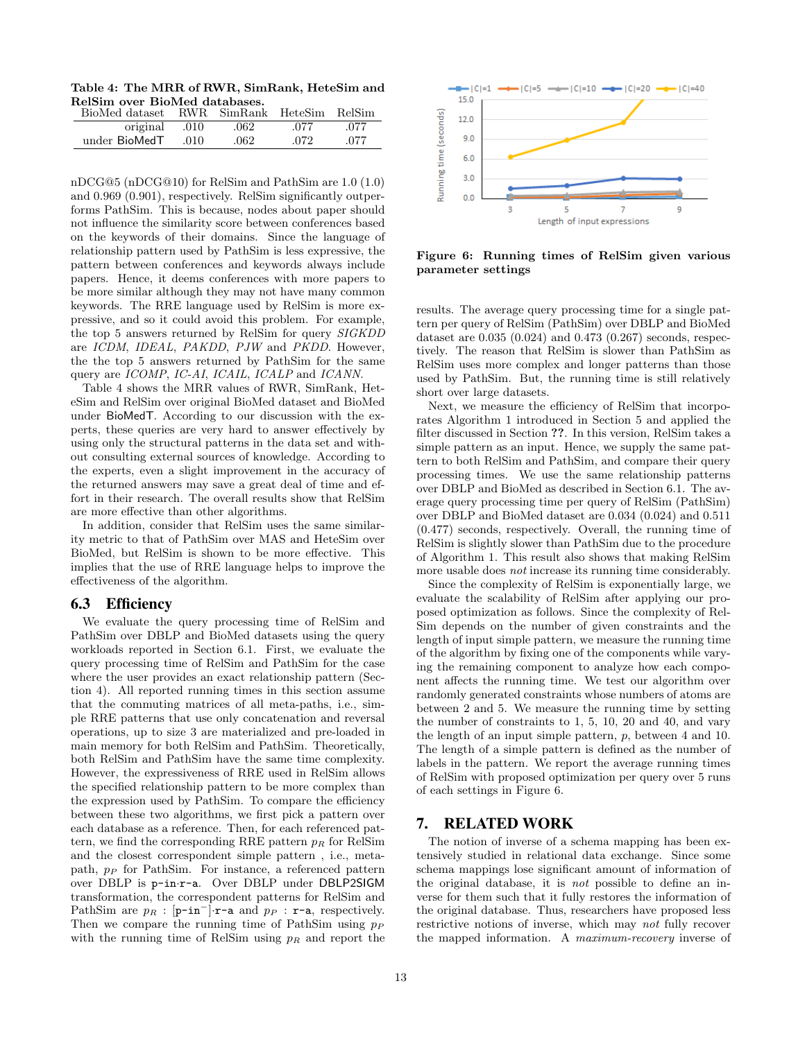Table 4: The MRR of RWR, SimRank, HeteSim and RelSim over BioMed databases.

| BioMed dataset |      | RWR SimRank HeteSim RelSim |      |      |
|----------------|------|----------------------------|------|------|
| original       | .010 | .062                       | .077 | .077 |
| under BioMedT  | .010 | .062                       | .072 | .077 |

nDCG@5 (nDCG@10) for RelSim and PathSim are 1.0 (1.0) and 0.969 (0.901), respectively. RelSim significantly outperforms PathSim. This is because, nodes about paper should not influence the similarity score between conferences based on the keywords of their domains. Since the language of relationship pattern used by PathSim is less expressive, the pattern between conferences and keywords always include papers. Hence, it deems conferences with more papers to be more similar although they may not have many common keywords. The RRE language used by RelSim is more expressive, and so it could avoid this problem. For example, the top 5 answers returned by RelSim for query SIGKDD are ICDM, IDEAL, PAKDD, PJW and PKDD. However, the the top 5 answers returned by PathSim for the same query are ICOMP, IC-AI, ICAIL, ICALP and ICANN.

Table 4 shows the MRR values of RWR, SimRank, HeteSim and RelSim over original BioMed dataset and BioMed under BioMedT. According to our discussion with the experts, these queries are very hard to answer effectively by using only the structural patterns in the data set and without consulting external sources of knowledge. According to the experts, even a slight improvement in the accuracy of the returned answers may save a great deal of time and effort in their research. The overall results show that RelSim are more effective than other algorithms.

In addition, consider that RelSim uses the same similarity metric to that of PathSim over MAS and HeteSim over BioMed, but RelSim is shown to be more effective. This implies that the use of RRE language helps to improve the effectiveness of the algorithm.

#### 6.3 Efficiency

We evaluate the query processing time of RelSim and PathSim over DBLP and BioMed datasets using the query workloads reported in Section 6.1. First, we evaluate the query processing time of RelSim and PathSim for the case where the user provides an exact relationship pattern (Section 4). All reported running times in this section assume that the commuting matrices of all meta-paths, i.e., simple RRE patterns that use only concatenation and reversal operations, up to size 3 are materialized and pre-loaded in main memory for both RelSim and PathSim. Theoretically, both RelSim and PathSim have the same time complexity. However, the expressiveness of RRE used in RelSim allows the specified relationship pattern to be more complex than the expression used by PathSim. To compare the efficiency between these two algorithms, we first pick a pattern over each database as a reference. Then, for each referenced pattern, we find the corresponding RRE pattern  $p_R$  for RelSim and the closest correspondent simple pattern , i.e., metapath,  $p<sub>P</sub>$  for PathSim. For instance, a referenced pattern over DBLP is p-in·r-a. Over DBLP under DBLP2SIGM transformation, the correspondent patterns for RelSim and PathSim are  $p_R$ : [p-in<sup>-</sup>]·r-a and  $p_P$ : r-a, respectively. Then we compare the running time of PathSim using  $p_P$ with the running time of RelSim using  $p_R$  and report the



Figure 6: Running times of RelSim given various parameter settings

results. The average query processing time for a single pattern per query of RelSim (PathSim) over DBLP and BioMed dataset are 0.035 (0.024) and 0.473 (0.267) seconds, respectively. The reason that RelSim is slower than PathSim as RelSim uses more complex and longer patterns than those used by PathSim. But, the running time is still relatively short over large datasets.

Next, we measure the efficiency of RelSim that incorporates Algorithm 1 introduced in Section 5 and applied the filter discussed in Section ??. In this version, RelSim takes a simple pattern as an input. Hence, we supply the same pattern to both RelSim and PathSim, and compare their query processing times. We use the same relationship patterns over DBLP and BioMed as described in Section 6.1. The average query processing time per query of RelSim (PathSim) over DBLP and BioMed dataset are 0.034 (0.024) and 0.511 (0.477) seconds, respectively. Overall, the running time of RelSim is slightly slower than PathSim due to the procedure of Algorithm 1. This result also shows that making RelSim more usable does not increase its running time considerably.

Since the complexity of RelSim is exponentially large, we evaluate the scalability of RelSim after applying our proposed optimization as follows. Since the complexity of Rel-Sim depends on the number of given constraints and the length of input simple pattern, we measure the running time of the algorithm by fixing one of the components while varying the remaining component to analyze how each component affects the running time. We test our algorithm over randomly generated constraints whose numbers of atoms are between 2 and 5. We measure the running time by setting the number of constraints to 1, 5, 10, 20 and 40, and vary the length of an input simple pattern, p, between 4 and 10. The length of a simple pattern is defined as the number of labels in the pattern. We report the average running times of RelSim with proposed optimization per query over 5 runs of each settings in Figure 6.

## 7. RELATED WORK

The notion of inverse of a schema mapping has been extensively studied in relational data exchange. Since some schema mappings lose significant amount of information of the original database, it is not possible to define an inverse for them such that it fully restores the information of the original database. Thus, researchers have proposed less restrictive notions of inverse, which may not fully recover the mapped information. A maximum-recovery inverse of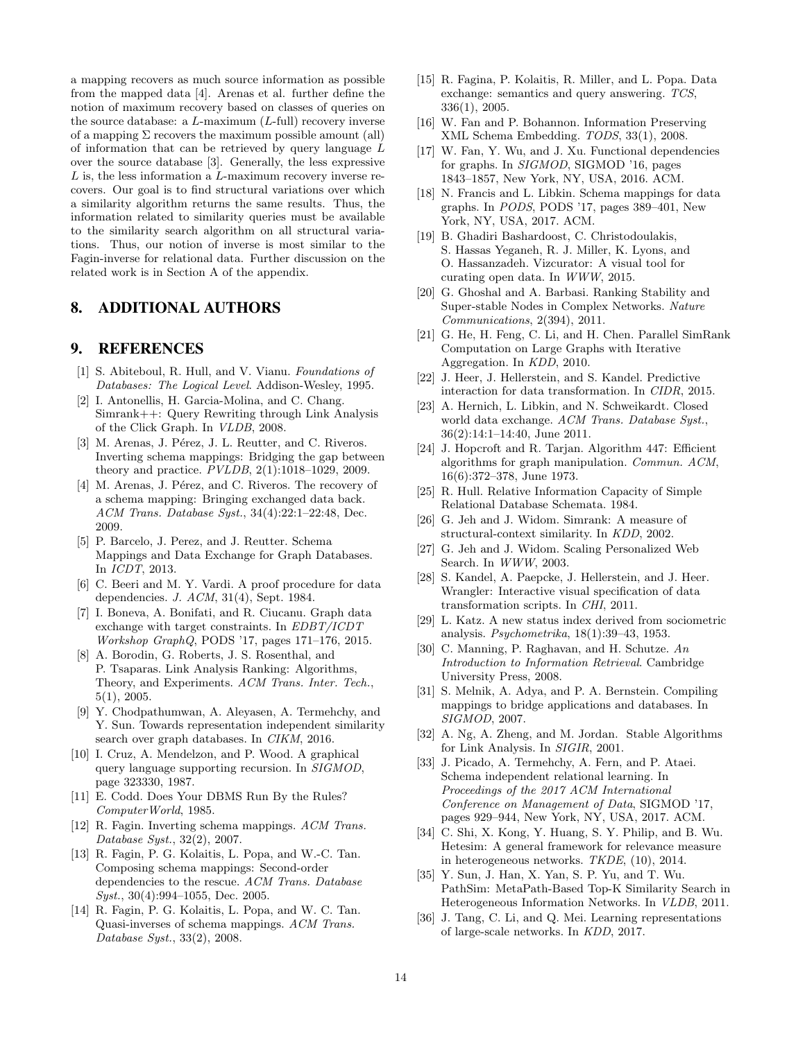a mapping recovers as much source information as possible from the mapped data [4]. Arenas et al. further define the notion of maximum recovery based on classes of queries on the source database: a  $L$ -maximum  $(L$ -full) recovery inverse of a mapping  $\Sigma$  recovers the maximum possible amount (all) of information that can be retrieved by query language L over the source database [3]. Generally, the less expressive  $L$  is, the less information a  $L$ -maximum recovery inverse recovers. Our goal is to find structural variations over which a similarity algorithm returns the same results. Thus, the information related to similarity queries must be available to the similarity search algorithm on all structural variations. Thus, our notion of inverse is most similar to the Fagin-inverse for relational data. Further discussion on the related work is in Section A of the appendix.

## 8. ADDITIONAL AUTHORS

# 9. REFERENCES

- [1] S. Abiteboul, R. Hull, and V. Vianu. Foundations of Databases: The Logical Level. Addison-Wesley, 1995.
- [2] I. Antonellis, H. Garcia-Molina, and C. Chang. Simrank++: Query Rewriting through Link Analysis of the Click Graph. In VLDB, 2008.
- [3] M. Arenas, J. Pérez, J. L. Reutter, and C. Riveros. Inverting schema mappings: Bridging the gap between theory and practice. PVLDB, 2(1):1018–1029, 2009.
- [4] M. Arenas, J. Pérez, and C. Riveros. The recovery of a schema mapping: Bringing exchanged data back. ACM Trans. Database Syst., 34(4):22:1–22:48, Dec. 2009.
- [5] P. Barcelo, J. Perez, and J. Reutter. Schema Mappings and Data Exchange for Graph Databases. In ICDT, 2013.
- [6] C. Beeri and M. Y. Vardi. A proof procedure for data dependencies. J. ACM, 31(4), Sept. 1984.
- [7] I. Boneva, A. Bonifati, and R. Ciucanu. Graph data exchange with target constraints. In EDBT/ICDT Workshop GraphQ, PODS '17, pages 171–176, 2015.
- [8] A. Borodin, G. Roberts, J. S. Rosenthal, and P. Tsaparas. Link Analysis Ranking: Algorithms, Theory, and Experiments. ACM Trans. Inter. Tech., 5(1), 2005.
- [9] Y. Chodpathumwan, A. Aleyasen, A. Termehchy, and Y. Sun. Towards representation independent similarity search over graph databases. In CIKM, 2016.
- [10] I. Cruz, A. Mendelzon, and P. Wood. A graphical query language supporting recursion. In SIGMOD, page 323330, 1987.
- [11] E. Codd. Does Your DBMS Run By the Rules? ComputerWorld, 1985.
- [12] R. Fagin. Inverting schema mappings. ACM Trans. Database Syst., 32(2), 2007.
- [13] R. Fagin, P. G. Kolaitis, L. Popa, and W.-C. Tan. Composing schema mappings: Second-order dependencies to the rescue. ACM Trans. Database Syst., 30(4):994-1055, Dec. 2005.
- [14] R. Fagin, P. G. Kolaitis, L. Popa, and W. C. Tan. Quasi-inverses of schema mappings. ACM Trans. Database Syst., 33(2), 2008.
- [15] R. Fagina, P. Kolaitis, R. Miller, and L. Popa. Data exchange: semantics and query answering. TCS, 336(1), 2005.
- [16] W. Fan and P. Bohannon. Information Preserving XML Schema Embedding. TODS, 33(1), 2008.
- [17] W. Fan, Y. Wu, and J. Xu. Functional dependencies for graphs. In SIGMOD, SIGMOD '16, pages 1843–1857, New York, NY, USA, 2016. ACM.
- [18] N. Francis and L. Libkin. Schema mappings for data graphs. In PODS, PODS '17, pages 389–401, New York, NY, USA, 2017. ACM.
- [19] B. Ghadiri Bashardoost, C. Christodoulakis, S. Hassas Yeganeh, R. J. Miller, K. Lyons, and O. Hassanzadeh. Vizcurator: A visual tool for curating open data. In WWW, 2015.
- [20] G. Ghoshal and A. Barbasi. Ranking Stability and Super-stable Nodes in Complex Networks. Nature Communications, 2(394), 2011.
- [21] G. He, H. Feng, C. Li, and H. Chen. Parallel SimRank Computation on Large Graphs with Iterative Aggregation. In KDD, 2010.
- [22] J. Heer, J. Hellerstein, and S. Kandel. Predictive interaction for data transformation. In CIDR, 2015.
- [23] A. Hernich, L. Libkin, and N. Schweikardt. Closed world data exchange. ACM Trans. Database Syst., 36(2):14:1–14:40, June 2011.
- [24] J. Hopcroft and R. Tarjan. Algorithm 447: Efficient algorithms for graph manipulation. Commun. ACM, 16(6):372–378, June 1973.
- [25] R. Hull. Relative Information Capacity of Simple Relational Database Schemata. 1984.
- [26] G. Jeh and J. Widom. Simrank: A measure of structural-context similarity. In KDD, 2002.
- [27] G. Jeh and J. Widom. Scaling Personalized Web Search. In WWW, 2003.
- [28] S. Kandel, A. Paepcke, J. Hellerstein, and J. Heer. Wrangler: Interactive visual specification of data transformation scripts. In CHI, 2011.
- [29] L. Katz. A new status index derived from sociometric analysis. Psychometrika, 18(1):39–43, 1953.
- [30] C. Manning, P. Raghavan, and H. Schutze. An Introduction to Information Retrieval. Cambridge University Press, 2008.
- [31] S. Melnik, A. Adya, and P. A. Bernstein. Compiling mappings to bridge applications and databases. In SIGMOD, 2007.
- [32] A. Ng, A. Zheng, and M. Jordan. Stable Algorithms for Link Analysis. In SIGIR, 2001.
- [33] J. Picado, A. Termehchy, A. Fern, and P. Ataei. Schema independent relational learning. In Proceedings of the 2017 ACM International Conference on Management of Data, SIGMOD '17, pages 929–944, New York, NY, USA, 2017. ACM.
- [34] C. Shi, X. Kong, Y. Huang, S. Y. Philip, and B. Wu. Hetesim: A general framework for relevance measure in heterogeneous networks. TKDE, (10), 2014.
- [35] Y. Sun, J. Han, X. Yan, S. P. Yu, and T. Wu. PathSim: MetaPath-Based Top-K Similarity Search in Heterogeneous Information Networks. In VLDB, 2011.
- [36] J. Tang, C. Li, and Q. Mei. Learning representations of large-scale networks. In KDD, 2017.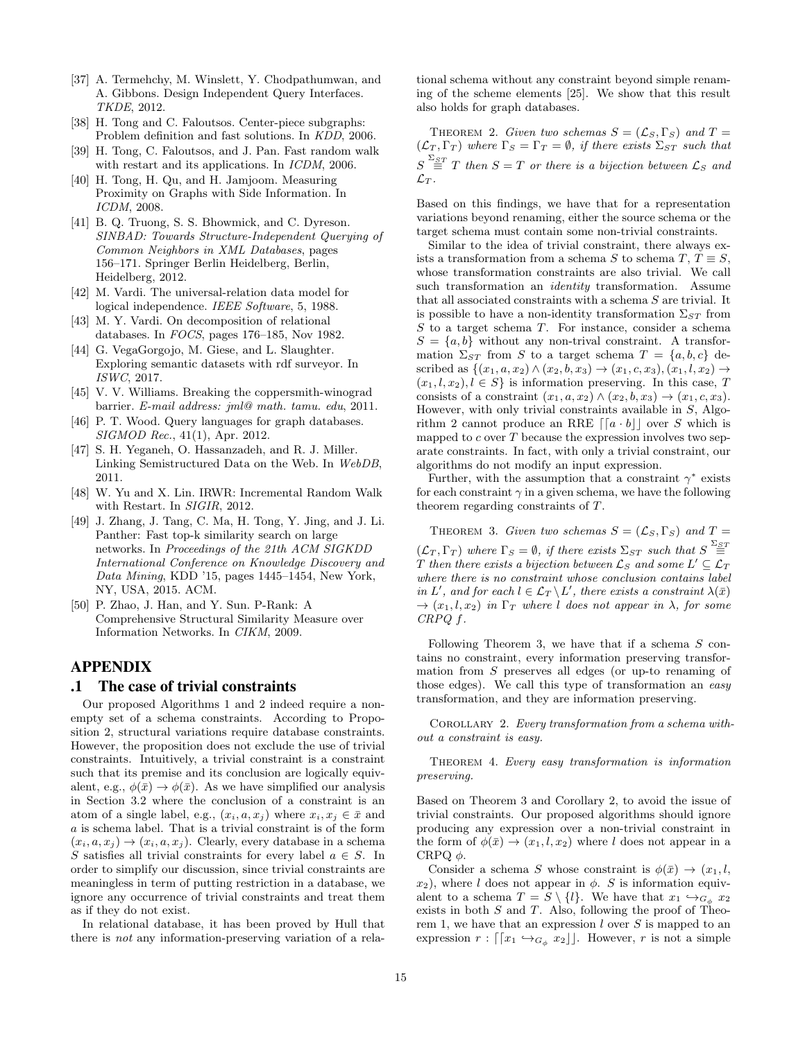- [37] A. Termehchy, M. Winslett, Y. Chodpathumwan, and A. Gibbons. Design Independent Query Interfaces. TKDE, 2012.
- [38] H. Tong and C. Faloutsos. Center-piece subgraphs: Problem definition and fast solutions. In KDD, 2006.
- [39] H. Tong, C. Faloutsos, and J. Pan. Fast random walk with restart and its applications. In *ICDM*, 2006.
- [40] H. Tong, H. Qu, and H. Jamjoom. Measuring Proximity on Graphs with Side Information. In ICDM, 2008.
- [41] B. Q. Truong, S. S. Bhowmick, and C. Dyreson. SINBAD: Towards Structure-Independent Querying of Common Neighbors in XML Databases, pages 156–171. Springer Berlin Heidelberg, Berlin, Heidelberg, 2012.
- [42] M. Vardi. The universal-relation data model for logical independence. IEEE Software, 5, 1988.
- [43] M. Y. Vardi. On decomposition of relational databases. In FOCS, pages 176–185, Nov 1982.
- [44] G. VegaGorgojo, M. Giese, and L. Slaughter. Exploring semantic datasets with rdf surveyor. In ISWC, 2017.
- [45] V. V. Williams. Breaking the coppersmith-winograd barrier. E-mail address: jml@ math. tamu. edu, 2011.
- [46] P. T. Wood. Query languages for graph databases. SIGMOD Rec., 41(1), Apr. 2012.
- [47] S. H. Yeganeh, O. Hassanzadeh, and R. J. Miller. Linking Semistructured Data on the Web. In WebDB, 2011.
- [48] W. Yu and X. Lin. IRWR: Incremental Random Walk with Restart. In SIGIR, 2012.
- [49] J. Zhang, J. Tang, C. Ma, H. Tong, Y. Jing, and J. Li. Panther: Fast top-k similarity search on large networks. In Proceedings of the 21th ACM SIGKDD International Conference on Knowledge Discovery and Data Mining, KDD '15, pages 1445–1454, New York, NY, USA, 2015. ACM.
- [50] P. Zhao, J. Han, and Y. Sun. P-Rank: A Comprehensive Structural Similarity Measure over Information Networks. In CIKM, 2009.

# APPENDIX

## .1 The case of trivial constraints

Our proposed Algorithms 1 and 2 indeed require a nonempty set of a schema constraints. According to Proposition 2, structural variations require database constraints. However, the proposition does not exclude the use of trivial constraints. Intuitively, a trivial constraint is a constraint such that its premise and its conclusion are logically equivalent, e.g.,  $\phi(\bar{x}) \rightarrow \phi(\bar{x})$ . As we have simplified our analysis in Section 3.2 where the conclusion of a constraint is an atom of a single label, e.g.,  $(x_i, a, x_j)$  where  $x_i, x_j \in \bar{x}$  and a is schema label. That is a trivial constraint is of the form  $(x_i, a, x_j) \rightarrow (x_i, a, x_j)$ . Clearly, every database in a schema S satisfies all trivial constraints for every label  $a \in S$ . In order to simplify our discussion, since trivial constraints are meaningless in term of putting restriction in a database, we ignore any occurrence of trivial constraints and treat them as if they do not exist.

In relational database, it has been proved by Hull that there is not any information-preserving variation of a relational schema without any constraint beyond simple renaming of the scheme elements [25]. We show that this result also holds for graph databases.

THEOREM 2. Given two schemas  $S = (\mathcal{L}_S, \Gamma_S)$  and  $T =$  $({\cal L}_T, \Gamma_T)$  where  $\Gamma_S = \Gamma_T = \emptyset$ , if there exists  $\Sigma_{ST}$  such that  $S \stackrel{\Sigma_{ST}}{=} T$  then  $S = T$  or there is a bijection between  $\mathcal{L}_S$  and  $\mathcal{L}_T$  .

Based on this findings, we have that for a representation variations beyond renaming, either the source schema or the target schema must contain some non-trivial constraints.

Similar to the idea of trivial constraint, there always exists a transformation from a schema S to schema T,  $T \equiv S$ , whose transformation constraints are also trivial. We call such transformation an *identity* transformation. Assume that all associated constraints with a schema S are trivial. It is possible to have a non-identity transformation  $\Sigma_{ST}$  from S to a target schema T. For instance, consider a schema  $S = \{a, b\}$  without any non-trival constraint. A transformation  $\Sigma_{ST}$  from S to a target schema  $T = \{a, b, c\}$  described as  $\{(x_1, a, x_2) \wedge (x_2, b, x_3) \rightarrow (x_1, c, x_3), (x_1, l, x_2) \rightarrow$  $(x_1, l, x_2), l \in S$  is information preserving. In this case, T consists of a constraint  $(x_1, a, x_2) \wedge (x_2, b, x_3) \rightarrow (x_1, c, x_3)$ . However, with only trivial constraints available in S, Algorithm 2 cannot produce an RRE  $\lceil a \cdot b \rceil \rceil$  over S which is mapped to  $c$  over  $T$  because the expression involves two separate constraints. In fact, with only a trivial constraint, our algorithms do not modify an input expression.

Further, with the assumption that a constraint  $\gamma^*$  exists for each constraint  $\gamma$  in a given schema, we have the following theorem regarding constraints of T.

THEOREM 3. Given two schemas  $S = (\mathcal{L}_S, \Gamma_S)$  and  $T =$  $(\mathcal{L}_T, \Gamma_T)$  where  $\Gamma_S = \emptyset$ , if there exists  $\Sigma_{ST}$  such that  $S \stackrel{\Sigma_{ST}}{=}$  $T$  then there exists a bijection between  $\mathcal{L}_S$  and some  $L' \subseteq \mathcal{L}_T$ where there is no constraint whose conclusion contains label in L', and for each  $l \in \mathcal{L}_T \backslash L'$ , there exists a constraint  $\lambda(\bar{x})$  $\rightarrow$   $(x_1, l, x_2)$  in  $\Gamma_T$  where l does not appear in  $\lambda$ , for some CRPQ f.

Following Theorem 3, we have that if a schema  $S$  contains no constraint, every information preserving transformation from S preserves all edges (or up-to renaming of those edges). We call this type of transformation an easy transformation, and they are information preserving.

COROLLARY 2. Every transformation from a schema without a constraint is easy.

THEOREM 4. Every easy transformation is information preserving.

Based on Theorem 3 and Corollary 2, to avoid the issue of trivial constraints. Our proposed algorithms should ignore producing any expression over a non-trivial constraint in the form of  $\phi(\bar{x}) \rightarrow (x_1, l, x_2)$  where l does not appear in a CRPQ  $\phi$ .

Consider a schema S whose constraint is  $\phi(\bar{x}) \to (x_1, l,$  $x_2$ ), where l does not appear in  $\phi$ . S is information equivalent to a schema  $T = S \setminus \{l\}$ . We have that  $x_1 \hookrightarrow_{G<sub>n</sub>} x_2$ exists in both  $S$  and  $T$ . Also, following the proof of Theorem 1, we have that an expression  $l$  over  $S$  is mapped to an expression  $r : \lceil x_1 \hookrightarrow_{G_\phi} x_2 \rceil$ . However, r is not a simple